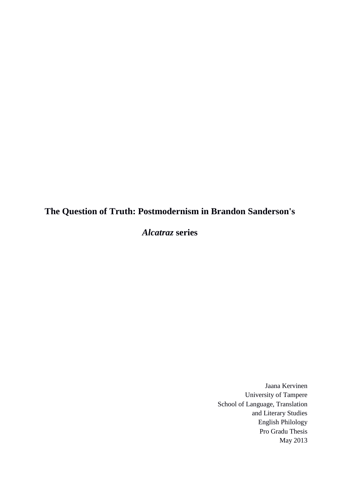# **The Question of Truth: Postmodernism in Brandon Sanderson's**

*Alcatraz* **series**

Jaana Kervinen University of Tampere School of Language, Translation and Literary Studies English Philology Pro Gradu Thesis May 2013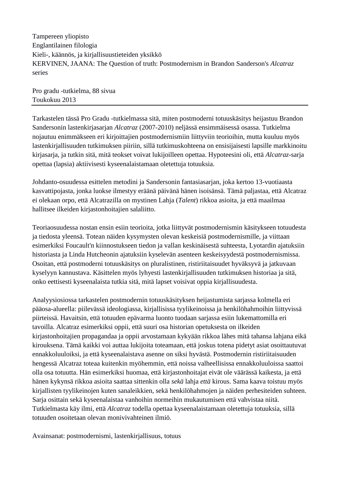Tampereen yliopisto Englantilainen filologia Kieli-, käännös, ja kirjallisuustieteiden yksikkö KERVINEN, JAANA: The Question of truth: Postmodernism in Brandon Sanderson's *Alcatraz* series

Pro gradu -tutkielma, 88 sivua Toukokuu 2013

Tarkastelen tässä Pro Gradu -tutkielmassa sitä, miten postmoderni totuuskäsitys heijastuu Brandon Sandersonin lastenkirjasarjan *Alcatraz* (2007-2010) neljässä ensimmäisessä osassa. Tutkielma nojautuu enimmäkseen eri kirjoittajien postmodernismiin liittyviin teorioihin, mutta kuuluu myös lastenkirjallisuuden tutkimuksen piiriin, sillä tutkimuskohteena on ensisijaisesti lapsille markkinoitu kirjasarja, ja tutkin sitä, mitä teokset voivat lukijoilleen opettaa. Hypoteesini oli, että *Alcatraz*-sarja opettaa (lapsia) aktiivisesti kyseenalaistamaan oletettuja totuuksia.

Johdanto-osuudessa esittelen metodini ja Sandersonin fantasiasarjan, joka kertoo 13-vuotiaasta kasvattipojasta, jonka luokse ilmestyy eräänä päivänä hänen isoisänsä. Tämä paljastaa, että Alcatraz ei olekaan orpo, että Alcatrazilla on mystinen Lahja (*Talent*) rikkoa asioita, ja että maailmaa hallitsee ilkeiden kirjastonhoitajien salaliitto.

Teoriaosuudessa nostan ensin esiin teorioita, jotka liittyvät postmodernismin käsitykseen totuudesta ja tiedosta yleensä. Totean näiden kysymysten olevan keskeisiä postmodernismille, ja viittaan esimerkiksi Foucault'n kiinnostukseen tiedon ja vallan keskinäisestä suhteesta, Lyotardin ajatuksiin historiasta ja Linda Hutcheonin ajatuksiin kyselevän asenteen keskeisyydestä postmodernismissa. Osoitan, että postmoderni totuuskäsitys on pluralistinen, ristiriitaisuudet hyväksyvä ja jatkuvaan kyselyyn kannustava. Käsittelen myös lyhyesti lastenkirjallisuuden tutkimuksen historiaa ja sitä, onko eettisesti kyseenalaista tutkia sitä, mitä lapset voisivat oppia kirjallisuudesta.

Analyysiosiossa tarkastelen postmodernin totuuskäsityksen heijastumista sarjassa kolmella eri pääosa-alueella: piilevässä ideologiassa, kirjallisissa tyylikeinoissa ja henkilöhahmoihin liittyvissä piirteissä. Havaitsin, että totuuden epävarma luonto tuodaan sarjassa esiin lukemattomilla eri tavoilla. Alcatraz esimerkiksi oppii, että suuri osa historian opetuksesta on ilkeiden kirjastonhoitajien propagandaa ja oppii arvostamaan kykyään rikkoa lähes mitä tahansa lahjana eikä kirouksena. Tämä kaikki voi auttaa lukijoita toteamaan, että joskus totena pidetyt asiat osoittautuvat ennakkoluuloiksi, ja että kyseenalaistava asenne on siksi hyvästä. Postmodernin ristiriitaisuuden hengessä Alcatraz toteaa kuitenkin myöhemmin, että noissa valheellisissa ennakkoluuloissa saattoi olla osa totuutta. Hän esimerkiksi huomaa, että kirjastonhoitajat eivät ole väärässä kaikesta, ja että hänen kykynsä rikkoa asioita saattaa sittenkin olla *sekä* lahja *että* kirous. Sama kaava toistuu myös kirjallisten tyylikeinojen kuten sanaleikkien, sekä henkilöhahmojen ja näiden perhesiteiden suhteen. Sarja osittain sekä kyseenalaistaa vanhoihin normeihin mukautumisen että vahvistaa niitä. Tutkielmasta käy ilmi, että *Alcatraz* todella opettaa kyseenalaistamaan oletettuja totuuksia, sillä totuuden osoitetaan olevan monivivahteinen ilmiö.

Avainsanat: postmodernismi, lastenkirjallisuus, totuus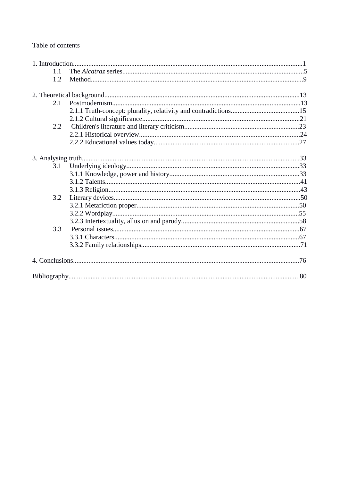# Table of contents

| 1.1           |  |
|---------------|--|
| 1.2           |  |
|               |  |
| 2.1           |  |
|               |  |
|               |  |
| $2.2^{\circ}$ |  |
|               |  |
|               |  |
|               |  |
| 3.1           |  |
|               |  |
|               |  |
|               |  |
| 3.2           |  |
|               |  |
|               |  |
|               |  |
| 3.3           |  |
|               |  |
|               |  |
|               |  |
|               |  |
|               |  |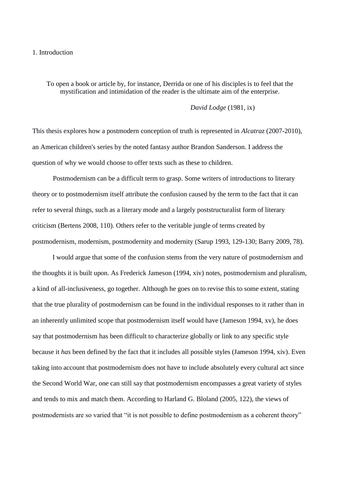## 1. Introduction

To open a book or article by, for instance, Derrida or one of his disciples is to feel that the mystification and intimidation of the reader is the ultimate aim of the enterprise.

*David Lodge* (1981, ix)

This thesis explores how a postmodern conception of truth is represented in *Alcatraz* (2007-2010), an American children's series by the noted fantasy author Brandon Sanderson. I address the question of why we would choose to offer texts such as these to children.

Postmodernism can be a difficult term to grasp. Some writers of introductions to literary theory or to postmodernism itself attribute the confusion caused by the term to the fact that it can refer to several things, such as a literary mode and a largely poststructuralist form of literary criticism (Bertens 2008, 110). Others refer to the veritable jungle of terms created by postmodernism, modernism, postmodernity and modernity (Sarup 1993, 129-130; Barry 2009, 78).

I would argue that some of the confusion stems from the very nature of postmodernism and the thoughts it is built upon. As Frederick Jameson (1994, xiv) notes, postmodernism and pluralism, a kind of all-inclusiveness, go together. Although he goes on to revise this to some extent, stating that the true plurality of postmodernism can be found in the individual responses to it rather than in an inherently unlimited scope that postmodernism itself would have (Jameson 1994, xv), he does say that postmodernism has been difficult to characterize globally or link to any specific style because it *has* been defined by the fact that it includes all possible styles (Jameson 1994, xiv). Even taking into account that postmodernism does not have to include absolutely every cultural act since the Second World War, one can still say that postmodernism encompasses a great variety of styles and tends to mix and match them. According to Harland G. Bloland (2005, 122), the views of postmodernists are so varied that "it is not possible to define postmodernism as a coherent theory"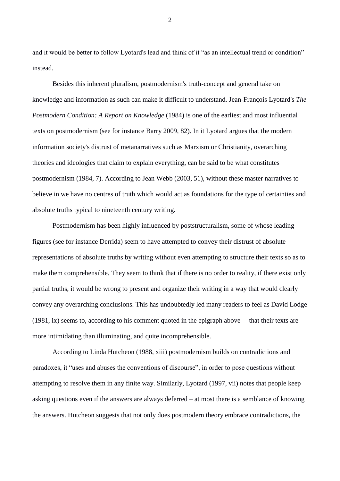and it would be better to follow Lyotard's lead and think of it "as an intellectual trend or condition" instead.

Besides this inherent pluralism, postmodernism's truth-concept and general take on knowledge and information as such can make it difficult to understand. Jean-François Lyotard's *The Postmodern Condition: A Report on Knowledge* (1984) is one of the earliest and most influential texts on postmodernism (see for instance Barry 2009, 82). In it Lyotard argues that the modern information society's distrust of metanarratives such as Marxism or Christianity, overarching theories and ideologies that claim to explain everything, can be said to be what constitutes postmodernism (1984, 7). According to Jean Webb (2003, 51), without these master narratives to believe in we have no centres of truth which would act as foundations for the type of certainties and absolute truths typical to nineteenth century writing.

Postmodernism has been highly influenced by poststructuralism, some of whose leading figures (see for instance Derrida) seem to have attempted to convey their distrust of absolute representations of absolute truths by writing without even attempting to structure their texts so as to make them comprehensible. They seem to think that if there is no order to reality, if there exist only partial truths, it would be wrong to present and organize their writing in a way that would clearly convey any overarching conclusions. This has undoubtedly led many readers to feel as David Lodge (1981, ix) seems to, according to his comment quoted in the epigraph above – that their texts are more intimidating than illuminating, and quite incomprehensible.

According to Linda Hutcheon (1988, xiii) postmodernism builds on contradictions and paradoxes, it "uses and abuses the conventions of discourse", in order to pose questions without attempting to resolve them in any finite way. Similarly, Lyotard (1997, vii) notes that people keep asking questions even if the answers are always deferred – at most there is a semblance of knowing the answers. Hutcheon suggests that not only does postmodern theory embrace contradictions, the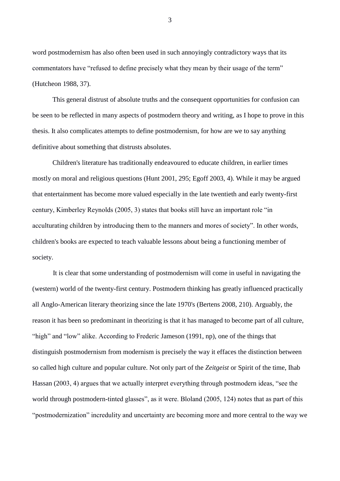word postmodernism has also often been used in such annoyingly contradictory ways that its commentators have "refused to define precisely what they mean by their usage of the term" (Hutcheon 1988, 37).

This general distrust of absolute truths and the consequent opportunities for confusion can be seen to be reflected in many aspects of postmodern theory and writing, as I hope to prove in this thesis. It also complicates attempts to define postmodernism, for how are we to say anything definitive about something that distrusts absolutes.

Children's literature has traditionally endeavoured to educate children, in earlier times mostly on moral and religious questions (Hunt 2001, 295; Egoff 2003, 4). While it may be argued that entertainment has become more valued especially in the late twentieth and early twenty-first century, Kimberley Reynolds (2005, 3) states that books still have an important role "in acculturating children by introducing them to the manners and mores of society". In other words, children's books are expected to teach valuable lessons about being a functioning member of society.

It is clear that some understanding of postmodernism will come in useful in navigating the (western) world of the twenty-first century. Postmodern thinking has greatly influenced practically all Anglo-American literary theorizing since the late 1970's (Bertens 2008, 210). Arguably, the reason it has been so predominant in theorizing is that it has managed to become part of all culture, "high" and "low" alike. According to Frederic Jameson (1991, np), one of the things that distinguish postmodernism from modernism is precisely the way it effaces the distinction between so called high culture and popular culture. Not only part of the *Zeitgeist* or Spirit of the time, Ihab Hassan (2003, 4) argues that we actually interpret everything through postmodern ideas, "see the world through postmodern-tinted glasses", as it were. Bloland (2005, 124) notes that as part of this "postmodernization" incredulity and uncertainty are becoming more and more central to the way we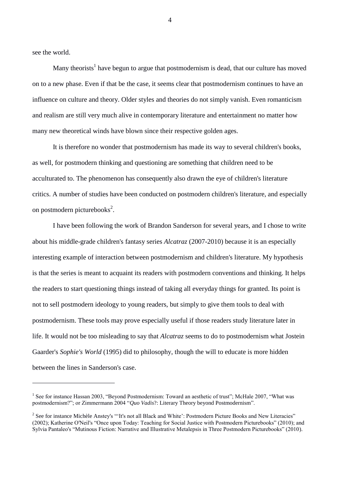see the world.

1

Many theorists<sup>1</sup> have begun to argue that postmodernism is dead, that our culture has moved on to a new phase. Even if that be the case, it seems clear that postmodernism continues to have an influence on culture and theory. Older styles and theories do not simply vanish. Even romanticism and realism are still very much alive in contemporary literature and entertainment no matter how many new theoretical winds have blown since their respective golden ages.

It is therefore no wonder that postmodernism has made its way to several children's books, as well, for postmodern thinking and questioning are something that children need to be acculturated to. The phenomenon has consequently also drawn the eye of children's literature critics. A number of studies have been conducted on postmodern children's literature, and especially on postmodern picturebooks<sup>2</sup>.

I have been following the work of Brandon Sanderson for several years, and I chose to write about his middle-grade children's fantasy series *Alcatraz* (2007-2010) because it is an especially interesting example of interaction between postmodernism and children's literature. My hypothesis is that the series is meant to acquaint its readers with postmodern conventions and thinking. It helps the readers to start questioning things instead of taking all everyday things for granted. Its point is not to sell postmodern ideology to young readers, but simply to give them tools to deal with postmodernism. These tools may prove especially useful if those readers study literature later in life. It would not be too misleading to say that *Alcatraz* seems to do to postmodernism what Jostein Gaarder's *Sophie's World* (1995) did to philosophy, though the will to educate is more hidden between the lines in Sanderson's case.

<sup>&</sup>lt;sup>1</sup> See for instance Hassan 2003, "Beyond Postmodernism: Toward an aesthetic of trust"; McHale 2007, "What was postmodernism?"; or Zimmermann 2004 "*Quo Vadis*?: Literary Theory beyond Postmodernism".

 $2^2$  See for instance Michèle Anstey's "'It's not all Black and White': Postmodern Picture Books and New Literacies" (2002); Katherine O'Neil's "Once upon Today: Teaching for Social Justice with Postmodern Picturebooks" (2010); and Sylvia Pantaleo's "Mutinous Fiction: Narrative and Illustrative Metalepsis in Three Postmodern Picturebooks" (2010).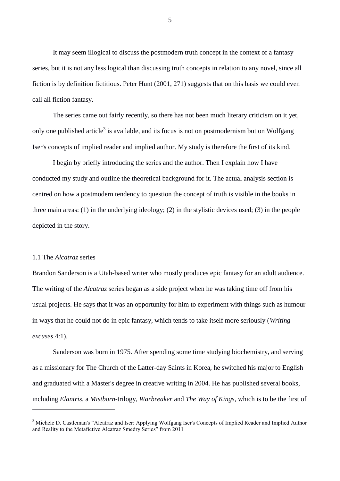It may seem illogical to discuss the postmodern truth concept in the context of a fantasy series, but it is not any less logical than discussing truth concepts in relation to any novel, since all fiction is by definition fictitious. Peter Hunt (2001, 271) suggests that on this basis we could even call all fiction fantasy.

The series came out fairly recently, so there has not been much literary criticism on it yet, only one published article<sup>3</sup> is available, and its focus is not on postmodernism but on Wolfgang Iser's concepts of implied reader and implied author. My study is therefore the first of its kind.

I begin by briefly introducing the series and the author. Then I explain how I have conducted my study and outline the theoretical background for it. The actual analysis section is centred on how a postmodern tendency to question the concept of truth is visible in the books in three main areas: (1) in the underlying ideology; (2) in the stylistic devices used; (3) in the people depicted in the story.

#### 1.1 The *Alcatraz* series

1

Brandon Sanderson is a Utah-based writer who mostly produces epic fantasy for an adult audience. The writing of the *Alcatraz* series began as a side project when he was taking time off from his usual projects. He says that it was an opportunity for him to experiment with things such as humour in ways that he could not do in epic fantasy, which tends to take itself more seriously (*Writing excuses* 4:1).

Sanderson was born in 1975. After spending some time studying biochemistry, and serving as a missionary for The Church of the Latter-day Saints in Korea, he switched his major to English and graduated with a Master's degree in creative writing in 2004. He has published several books, including *Elantris*, a *Mistborn*-trilogy, *Warbreaker* and *The Way of Kings*, which is to be the first of

<sup>3</sup> Michele D. Castleman's "Alcatraz and Iser: Applying Wolfgang Iser's Concepts of Implied Reader and Implied Author and Reality to the Metafictive Alcatraz Smedry Series" from 2011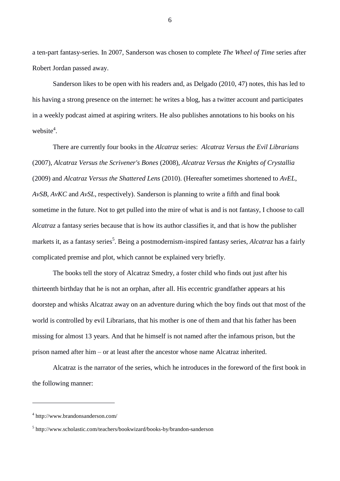a ten-part fantasy-series. In 2007, Sanderson was chosen to complete *The Wheel of Time* series after Robert Jordan passed away.

Sanderson likes to be open with his readers and, as Delgado (2010, 47) notes, this has led to his having a strong presence on the internet: he writes a blog, has a twitter account and participates in a weekly podcast aimed at aspiring writers. He also publishes annotations to his books on his website<sup>4</sup>.

There are currently four books in the *Alcatraz* series: *Alcatraz Versus the Evil Librarians*  (2007), *Alcatraz Versus the Scrivener's Bones* (2008), *Alcatraz Versus the Knights of Crystallia* (2009) and *Alcatraz Versus the Shattered Lens* (2010). (Hereafter sometimes shortened to *AvEL*, *AvSB*, *AvKC* and *AvSL*, respectively). Sanderson is planning to write a fifth and final book sometime in the future. Not to get pulled into the mire of what is and is not fantasy, I choose to call *Alcatraz* a fantasy series because that is how its author classifies it, and that is how the publisher markets it, as a fantasy series<sup>5</sup>. Being a postmodernism-inspired fantasy series, *Alcatraz* has a fairly complicated premise and plot, which cannot be explained very briefly.

The books tell the story of Alcatraz Smedry, a foster child who finds out just after his thirteenth birthday that he is not an orphan, after all. His eccentric grandfather appears at his doorstep and whisks Alcatraz away on an adventure during which the boy finds out that most of the world is controlled by evil Librarians, that his mother is one of them and that his father has been missing for almost 13 years. And that he himself is not named after the infamous prison, but the prison named after him – or at least after the ancestor whose name Alcatraz inherited.

Alcatraz is the narrator of the series, which he introduces in the foreword of the first book in the following manner:

1

<sup>4</sup> http://www.brandonsanderson.com/

<sup>5</sup> http://www.scholastic.com/teachers/bookwizard/books-by/brandon-sanderson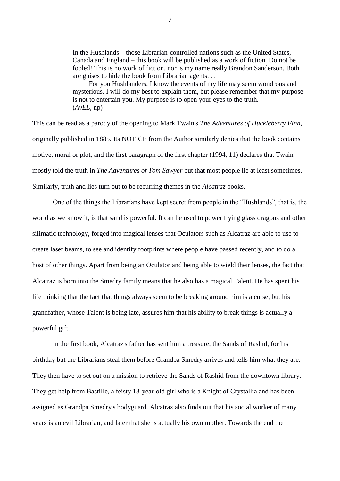In the Hushlands – those Librarian-controlled nations such as the United States, Canada and England – this book will be published as a work of fiction. Do not be fooled! This is no work of fiction, nor is my name really Brandon Sanderson. Both are guises to hide the book from Librarian agents. . .

For you Hushlanders, I know the events of my life may seem wondrous and mysterious. I will do my best to explain them, but please remember that my purpose is not to entertain you. My purpose is to open your eyes to the truth. (*AvEL*, np)

This can be read as a parody of the opening to Mark Twain's *The Adventures of Huckleberry Finn*, originally published in 1885. Its NOTICE from the Author similarly denies that the book contains motive, moral or plot, and the first paragraph of the first chapter (1994, 11) declares that Twain mostly told the truth in *The Adventures of Tom Sawyer* but that most people lie at least sometimes. Similarly, truth and lies turn out to be recurring themes in the *Alcatraz* books.

One of the things the Librarians have kept secret from people in the "Hushlands", that is, the world as we know it, is that sand is powerful. It can be used to power flying glass dragons and other silimatic technology, forged into magical lenses that Oculators such as Alcatraz are able to use to create laser beams, to see and identify footprints where people have passed recently, and to do a host of other things. Apart from being an Oculator and being able to wield their lenses, the fact that Alcatraz is born into the Smedry family means that he also has a magical Talent. He has spent his life thinking that the fact that things always seem to be breaking around him is a curse, but his grandfather, whose Talent is being late, assures him that his ability to break things is actually a powerful gift.

In the first book, Alcatraz's father has sent him a treasure, the Sands of Rashid, for his birthday but the Librarians steal them before Grandpa Smedry arrives and tells him what they are. They then have to set out on a mission to retrieve the Sands of Rashid from the downtown library. They get help from Bastille, a feisty 13-year-old girl who is a Knight of Crystallia and has been assigned as Grandpa Smedry's bodyguard. Alcatraz also finds out that his social worker of many years is an evil Librarian, and later that she is actually his own mother. Towards the end the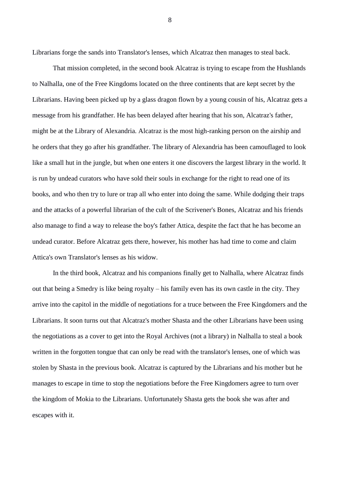Librarians forge the sands into Translator's lenses, which Alcatraz then manages to steal back.

That mission completed, in the second book Alcatraz is trying to escape from the Hushlands to Nalhalla, one of the Free Kingdoms located on the three continents that are kept secret by the Librarians. Having been picked up by a glass dragon flown by a young cousin of his, Alcatraz gets a message from his grandfather. He has been delayed after hearing that his son, Alcatraz's father, might be at the Library of Alexandria. Alcatraz is the most high-ranking person on the airship and he orders that they go after his grandfather. The library of Alexandria has been camouflaged to look like a small hut in the jungle, but when one enters it one discovers the largest library in the world. It is run by undead curators who have sold their souls in exchange for the right to read one of its books, and who then try to lure or trap all who enter into doing the same. While dodging their traps and the attacks of a powerful librarian of the cult of the Scrivener's Bones, Alcatraz and his friends also manage to find a way to release the boy's father Attica, despite the fact that he has become an undead curator. Before Alcatraz gets there, however, his mother has had time to come and claim Attica's own Translator's lenses as his widow.

In the third book, Alcatraz and his companions finally get to Nalhalla, where Alcatraz finds out that being a Smedry is like being royalty – his family even has its own castle in the city. They arrive into the capitol in the middle of negotiations for a truce between the Free Kingdomers and the Librarians. It soon turns out that Alcatraz's mother Shasta and the other Librarians have been using the negotiations as a cover to get into the Royal Archives (not a library) in Nalhalla to steal a book written in the forgotten tongue that can only be read with the translator's lenses, one of which was stolen by Shasta in the previous book. Alcatraz is captured by the Librarians and his mother but he manages to escape in time to stop the negotiations before the Free Kingdomers agree to turn over the kingdom of Mokia to the Librarians. Unfortunately Shasta gets the book she was after and escapes with it.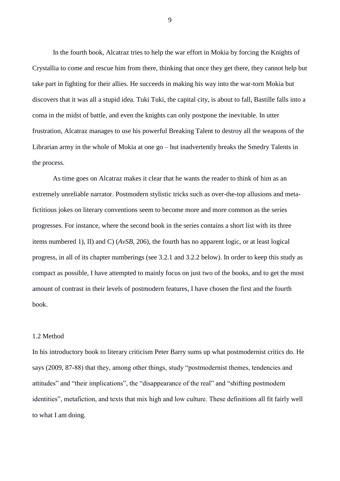In the fourth book, Alcatraz tries to help the war effort in Mokia by forcing the Knights of Crystallia to come and rescue him from there, thinking that once they get there, they cannot help but take part in fighting for their allies. He succeeds in making his way into the war-torn Mokia but discovers that it was all a stupid idea. Tuki Tuki, the capital city, is about to fall, Bastille falls into a coma in the midst of battle, and even the knights can only postpone the inevitable. In utter frustration, Alcatraz manages to use his powerful Breaking Talent to destroy all the weapons of the Librarian army in the whole of Mokia at one go – but inadvertently breaks the Smedry Talents in the process.

As time goes on Alcatraz makes it clear that he wants the reader to think of him as an extremely unreliable narrator. Postmodern stylistic tricks such as over-the-top allusions and metafictitious jokes on literary conventions seem to become more and more common as the series progresses. For instance, where the second book in the series contains a short list with its three items numbered 1), II) and C) (*AvSB*, 206), the fourth has no apparent logic, or at least logical progress, in all of its chapter numberings (see 3.2.1 and 3.2.2 below). In order to keep this study as compact as possible, I have attempted to mainly focus on just two of the books, and to get the most amount of contrast in their levels of postmodern features, I have chosen the first and the fourth book.

# 1.2 Method

In his introductory book to literary criticism Peter Barry sums up what postmodernist critics do. He says (2009, 87-88) that they, among other things, study "postmodernist themes, tendencies and attitudes" and "their implications", the "disappearance of the real" and "shifting postmodern identities", metafiction, and texts that mix high and low culture. These definitions all fit fairly well to what I am doing.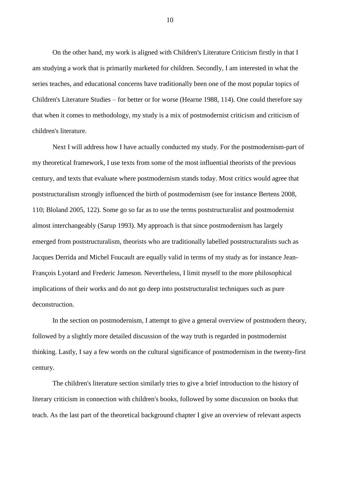On the other hand, my work is aligned with Children's Literature Criticism firstly in that I am studying a work that is primarily marketed for children. Secondly, I am interested in what the series teaches, and educational concerns have traditionally been one of the most popular topics of Children's Literature Studies – for better or for worse (Hearne 1988, 114). One could therefore say that when it comes to methodology, my study is a mix of postmodernist criticism and criticism of children's literature.

Next I will address how I have actually conducted my study. For the postmodernism-part of my theoretical framework, I use texts from some of the most influential theorists of the previous century, and texts that evaluate where postmodernism stands today. Most critics would agree that poststructuralism strongly influenced the birth of postmodernism (see for instance Bertens 2008, 110; Bloland 2005, 122). Some go so far as to use the terms poststructuralist and postmodernist almost interchangeably (Sarup 1993). My approach is that since postmodernism has largely emerged from poststructuralism, theorists who are traditionally labelled poststructuralists such as Jacques Derrida and Michel Foucault are equally valid in terms of my study as for instance Jean-François Lyotard and Frederic Jameson. Nevertheless, I limit myself to the more philosophical implications of their works and do not go deep into poststructuralist techniques such as pure deconstruction.

In the section on postmodernism, I attempt to give a general overview of postmodern theory, followed by a slightly more detailed discussion of the way truth is regarded in postmodernist thinking. Lastly, I say a few words on the cultural significance of postmodernism in the twenty-first century.

The children's literature section similarly tries to give a brief introduction to the history of literary criticism in connection with children's books, followed by some discussion on books that teach. As the last part of the theoretical background chapter I give an overview of relevant aspects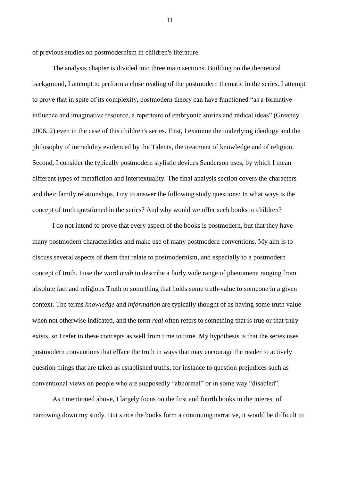of previous studies on postmodernism in children's literature.

The analysis chapter is divided into three main sections. Building on the theoretical background, I attempt to perform a close reading of the postmodern thematic in the series. I attempt to prove that in spite of its complexity, postmodern theory can have functioned "as a formative influence and imaginative resource, a repertoire of embryonic stories and radical ideas" (Greaney 2006, 2) even in the case of this children's series. First, I examine the underlying ideology and the philosophy of incredulity evidenced by the Talents, the treatment of knowledge and of religion. Second, I consider the typically postmodern stylistic devices Sanderson uses, by which I mean different types of metafiction and intertextuality. The final analysis section covers the characters and their family relationships. I try to answer the following study questions: In what ways is the concept of truth questioned in the series? And why would we offer such books to children?

I do not intend to prove that every aspect of the books is postmodern, but that they have many postmodern characteristics and make use of many postmodern conventions. My aim is to discuss several aspects of them that relate to postmodernism, and especially to a postmodern concept of truth. I use the word *truth* to describe a fairly wide range of phenomena ranging from absolute fact and religious Truth to something that holds some truth-value to someone in a given context. The terms *knowledge* and *information* are typically thought of as having some truth value when not otherwise indicated, and the term *real* often refers to something that is true or that truly exists, so I refer to these concepts as well from time to time. My hypothesis is that the series uses postmodern conventions that efface the truth in ways that may encourage the reader to actively question things that are taken as established truths, for instance to question prejudices such as conventional views on people who are supposedly "abnormal" or in some way "disabled".

As I mentioned above, I largely focus on the first and fourth books in the interest of narrowing down my study. But since the books form a continuing narrative, it would be difficult to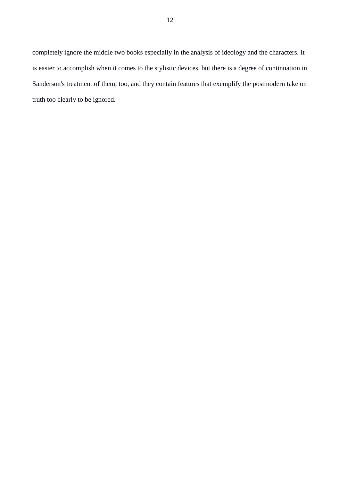completely ignore the middle two books especially in the analysis of ideology and the characters. It is easier to accomplish when it comes to the stylistic devices, but there is a degree of continuation in Sanderson's treatment of them, too, and they contain features that exemplify the postmodern take on truth too clearly to be ignored.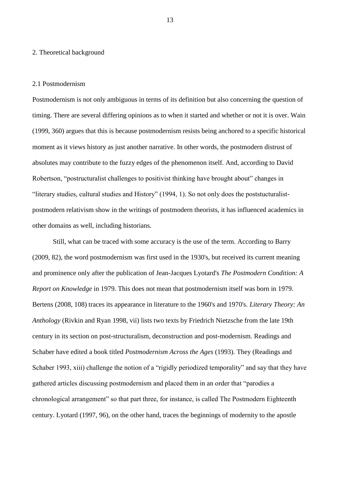#### 2. Theoretical background

#### 2.1 Postmodernism

Postmodernism is not only ambiguous in terms of its definition but also concerning the question of timing. There are several differing opinions as to when it started and whether or not it is over. Wain (1999, 360) argues that this is because postmodernism resists being anchored to a specific historical moment as it views history as just another narrative. In other words, the postmodern distrust of absolutes may contribute to the fuzzy edges of the phenomenon itself. And, according to David Robertson, "postructuralist challenges to positivist thinking have brought about" changes in "literary studies, cultural studies and History" (1994, 1). So not only does the poststucturalistpostmodern relativism show in the writings of postmodern theorists, it has influenced academics in other domains as well, including historians.

Still, what can be traced with some accuracy is the use of the term. According to Barry (2009, 82), the word postmodernism was first used in the 1930's, but received its current meaning and prominence only after the publication of Jean-Jacques Lyotard's *The Postmodern Condition: A Report on Knowledge* in 1979. This does not mean that postmodernism itself was born in 1979. Bertens (2008, 108) traces its appearance in literature to the 1960's and 1970's. *Literary Theory: An Anthology* (Rivkin and Ryan 1998, vii) lists two texts by Friedrich Nietzsche from the late 19th century in its section on post-structuralism, deconstruction and post-modernism. Readings and Schaber have edited a book titled *Postmodernism Across the Ages* (1993). They (Readings and Schaber 1993, xiii) challenge the notion of a "rigidly periodized temporality" and say that they have gathered articles discussing postmodernism and placed them in an order that "parodies a chronological arrangement" so that part three, for instance, is called The Postmodern Eighteenth century. Lyotard (1997, 96), on the other hand, traces the beginnings of modernity to the apostle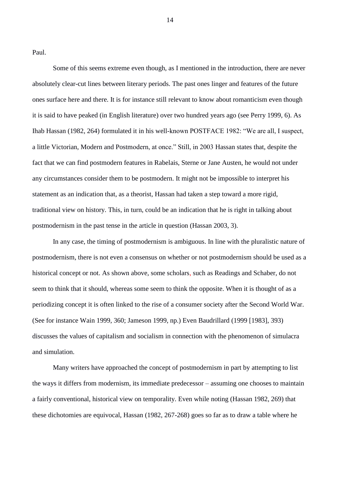Paul.

Some of this seems extreme even though, as I mentioned in the introduction, there are never absolutely clear-cut lines between literary periods. The past ones linger and features of the future ones surface here and there. It is for instance still relevant to know about romanticism even though it is said to have peaked (in English literature) over two hundred years ago (see Perry 1999, 6). As Ihab Hassan (1982, 264) formulated it in his well-known POSTFACE 1982: "We are all, I suspect, a little Victorian, Modern and Postmodern, at once." Still, in 2003 Hassan states that, despite the fact that we can find postmodern features in Rabelais, Sterne or Jane Austen, he would not under any circumstances consider them to be postmodern. It might not be impossible to interpret his statement as an indication that, as a theorist, Hassan had taken a step toward a more rigid, traditional view on history. This, in turn, could be an indication that he is right in talking about postmodernism in the past tense in the article in question (Hassan 2003, 3).

In any case, the timing of postmodernism is ambiguous. In line with the pluralistic nature of postmodernism, there is not even a consensus on whether or not postmodernism should be used as a historical concept or not. As shown above, some scholars, such as Readings and Schaber, do not seem to think that it should, whereas some seem to think the opposite. When it is thought of as a periodizing concept it is often linked to the rise of a consumer society after the Second World War. (See for instance Wain 1999, 360; Jameson 1999, np.) Even Baudrillard (1999 [1983], 393) discusses the values of capitalism and socialism in connection with the phenomenon of simulacra and simulation.

Many writers have approached the concept of postmodernism in part by attempting to list the ways it differs from modernism, its immediate predecessor – assuming one chooses to maintain a fairly conventional, historical view on temporality. Even while noting (Hassan 1982, 269) that these dichotomies are equivocal, Hassan (1982, 267-268) goes so far as to draw a table where he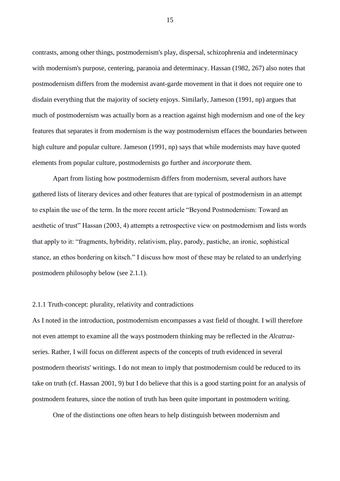contrasts, among other things, postmodernism's play, dispersal, schizophrenia and indeterminacy with modernism's purpose, centering, paranoia and determinacy. Hassan (1982, 267) also notes that postmodernism differs from the modernist avant-garde movement in that it does not require one to disdain everything that the majority of society enjoys. Similarly, Jameson (1991, np) argues that much of postmodernism was actually born as a reaction against high modernism and one of the key features that separates it from modernism is the way postmodernism effaces the boundaries between high culture and popular culture. Jameson (1991, np) says that while modernists may have quoted elements from popular culture, postmodernists go further and *incorporate* them.

Apart from listing how postmodernism differs from modernism, several authors have gathered lists of literary devices and other features that are typical of postmodernism in an attempt to explain the use of the term. In the more recent article "Beyond Postmodernism: Toward an aesthetic of trust" Hassan (2003, 4) attempts a retrospective view on postmodernism and lists words that apply to it: "fragments, hybridity, relativism, play, parody, pastiche, an ironic, sophistical stance, an ethos bordering on kitsch." I discuss how most of these may be related to an underlying postmodern philosophy below (see 2.1.1).

# 2.1.1 Truth-concept: plurality, relativity and contradictions

As I noted in the introduction, postmodernism encompasses a vast field of thought. I will therefore not even attempt to examine all the ways postmodern thinking may be reflected in the *Alcatraz*series. Rather, I will focus on different aspects of the concepts of truth evidenced in several postmodern theorists' writings. I do not mean to imply that postmodernism could be reduced to its take on truth (cf. Hassan 2001, 9) but I do believe that this is a good starting point for an analysis of postmodern features, since the notion of truth has been quite important in postmodern writing.

One of the distinctions one often hears to help distinguish between modernism and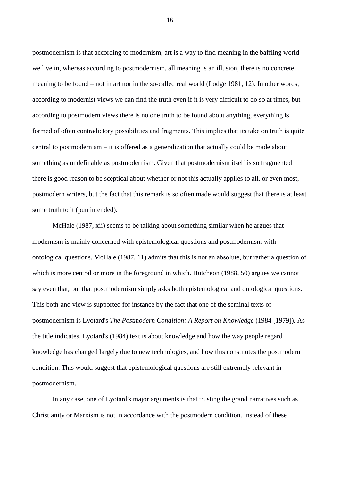postmodernism is that according to modernism, art is a way to find meaning in the baffling world we live in, whereas according to postmodernism, all meaning is an illusion, there is no concrete meaning to be found – not in art nor in the so-called real world (Lodge 1981, 12). In other words, according to modernist views we can find the truth even if it is very difficult to do so at times, but according to postmodern views there is no one truth to be found about anything, everything is formed of often contradictory possibilities and fragments. This implies that its take on truth is quite central to postmodernism – it is offered as a generalization that actually could be made about something as undefinable as postmodernism. Given that postmodernism itself is so fragmented there is good reason to be sceptical about whether or not this actually applies to all, or even most, postmodern writers, but the fact that this remark is so often made would suggest that there is at least some truth to it (pun intended).

McHale (1987, xii) seems to be talking about something similar when he argues that modernism is mainly concerned with epistemological questions and postmodernism with ontological questions. McHale (1987, 11) admits that this is not an absolute, but rather a question of which is more central or more in the foreground in which. Hutcheon (1988, 50) argues we cannot say even that, but that postmodernism simply asks both epistemological and ontological questions. This both-and view is supported for instance by the fact that one of the seminal texts of postmodernism is Lyotard's *The Postmodern Condition: A Report on Knowledge* (1984 [1979]). As the title indicates, Lyotard's (1984) text is about knowledge and how the way people regard knowledge has changed largely due to new technologies, and how this constitutes the postmodern condition. This would suggest that epistemological questions are still extremely relevant in postmodernism.

In any case, one of Lyotard's major arguments is that trusting the grand narratives such as Christianity or Marxism is not in accordance with the postmodern condition. Instead of these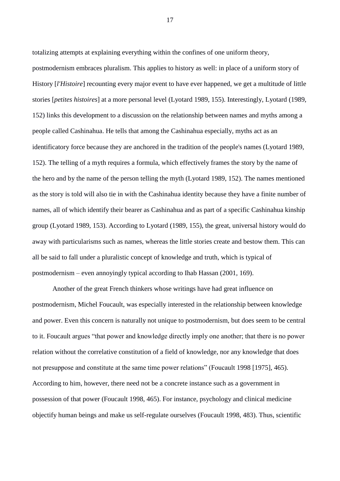totalizing attempts at explaining everything within the confines of one uniform theory, postmodernism embraces pluralism. This applies to history as well: in place of a uniform story of History [*l'Histoire*] recounting every major event to have ever happened, we get a multitude of little stories [*petites histoires*] at a more personal level (Lyotard 1989, 155). Interestingly, Lyotard (1989, 152) links this development to a discussion on the relationship between names and myths among a people called Cashinahua. He tells that among the Cashinahua especially, myths act as an identificatory force because they are anchored in the tradition of the people's names (Lyotard 1989, 152). The telling of a myth requires a formula, which effectively frames the story by the name of the hero and by the name of the person telling the myth (Lyotard 1989, 152). The names mentioned as the story is told will also tie in with the Cashinahua identity because they have a finite number of names, all of which identify their bearer as Cashinahua and as part of a specific Cashinahua kinship group (Lyotard 1989, 153). According to Lyotard (1989, 155), the great, universal history would do away with particularisms such as names, whereas the little stories create and bestow them. This can all be said to fall under a pluralistic concept of knowledge and truth, which is typical of postmodernism – even annoyingly typical according to Ihab Hassan (2001, 169).

Another of the great French thinkers whose writings have had great influence on postmodernism, Michel Foucault, was especially interested in the relationship between knowledge and power. Even this concern is naturally not unique to postmodernism, but does seem to be central to it. Foucault argues "that power and knowledge directly imply one another; that there is no power relation without the correlative constitution of a field of knowledge, nor any knowledge that does not presuppose and constitute at the same time power relations" (Foucault 1998 [1975], 465). According to him, however, there need not be a concrete instance such as a government in possession of that power (Foucault 1998, 465). For instance, psychology and clinical medicine objectify human beings and make us self-regulate ourselves (Foucault 1998, 483). Thus, scientific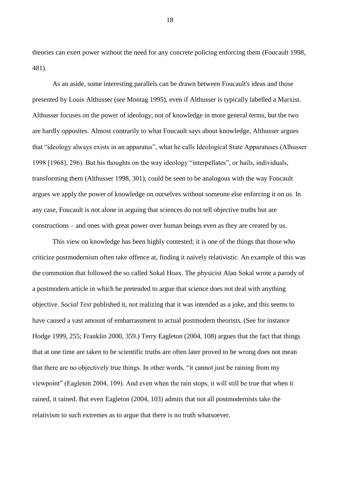theories can exert power without the need for any concrete policing enforcing them (Foucault 1998, 481).

As an aside, some interesting parallels can be drawn between Foucault's ideas and those presented by Louis Althusser (see Montag 1995), even if Althusser is typically labelled a Marxist. Althusser focuses on the power of ideology, not of knowledge in more general terms, but the two are hardly opposites. Almost contrarily to what Foucault says about knowledge, Althusser argues that "ideology always exists in an apparatus", what he calls Ideological State Apparatuses (Alhusser 1998 [1968], 296). But his thoughts on the way ideology "interpellates", or hails, individuals, transforming them (Althusser 1998, 301), could be seen to be analogous with the way Foucault argues we apply the power of knowledge on ourselves without someone else enforcing it on us. In any case, Foucault is not alone in arguing that sciences do not tell objective truths but are constructions – and ones with great power over human beings even as they are created by us.

This view on knowledge has been highly contested; it is one of the things that those who criticize postmodernism often take offence at, finding it naively relativistic. An example of this was the commotion that followed the so called Sokal Hoax. The physicist Alan Sokal wrote a parody of a postmodern article in which he pretended to argue that science does not deal with anything objective. *Social Text* published it, not realizing that it was intended as a joke, and this seems to have caused a vast amount of embarrassment to actual postmodern theorists. (See for instance Hodge 1999, 255; Franklin 2000, 359.) Terry Eagleton (2004, 108) argues that the fact that things that at one time are taken to be scientific truths are often later proved to be wrong does not mean that there are no objectively true things. In other words, "it cannot just be raining from my viewpoint" (Eagleton 2004, 109). And even when the rain stops, it will still be true that when it rained, it rained. But even Eagleton (2004, 103) admits that not all postmodernists take the relativism to such extremes as to argue that there is no truth whatsoever.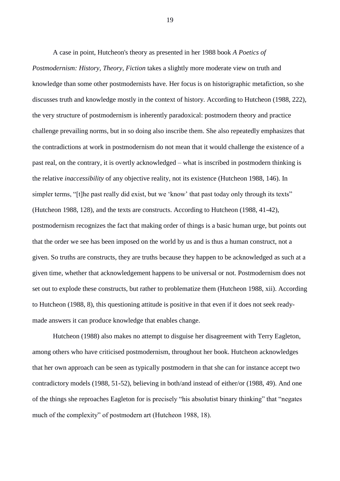A case in point, Hutcheon's theory as presented in her 1988 book *A Poetics of Postmodernism: History, Theory, Fiction* takes a slightly more moderate view on truth and knowledge than some other postmodernists have. Her focus is on historigraphic metafiction, so she discusses truth and knowledge mostly in the context of history. According to Hutcheon (1988, 222), the very structure of postmodernism is inherently paradoxical: postmodern theory and practice challenge prevailing norms, but in so doing also inscribe them. She also repeatedly emphasizes that the contradictions at work in postmodernism do not mean that it would challenge the existence of a past real, on the contrary, it is overtly acknowledged – what is inscribed in postmodern thinking is the relative *inaccessibility* of any objective reality, not its existence (Hutcheon 1988, 146). In simpler terms, "[t]he past really did exist, but we 'know' that past today only through its texts" (Hutcheon 1988, 128), and the texts are constructs. According to Hutcheon (1988, 41-42), postmodernism recognizes the fact that making order of things is a basic human urge, but points out that the order we see has been imposed on the world by us and is thus a human construct, not a given. So truths are constructs, they are truths because they happen to be acknowledged as such at a given time, whether that acknowledgement happens to be universal or not. Postmodernism does not set out to explode these constructs, but rather to problematize them (Hutcheon 1988, xii). According to Hutcheon (1988, 8), this questioning attitude is positive in that even if it does not seek readymade answers it can produce knowledge that enables change.

Hutcheon (1988) also makes no attempt to disguise her disagreement with Terry Eagleton, among others who have criticised postmodernism, throughout her book. Hutcheon acknowledges that her own approach can be seen as typically postmodern in that she can for instance accept two contradictory models (1988, 51-52), believing in both/and instead of either/or (1988, 49). And one of the things she reproaches Eagleton for is precisely "his absolutist binary thinking" that "negates much of the complexity" of postmodern art (Hutcheon 1988, 18).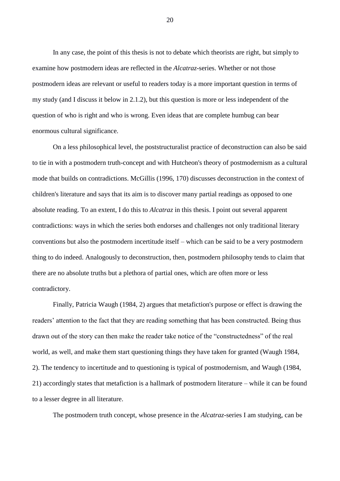In any case, the point of this thesis is not to debate which theorists are right, but simply to examine how postmodern ideas are reflected in the *Alcatraz*-series. Whether or not those postmodern ideas are relevant or useful to readers today is a more important question in terms of my study (and I discuss it below in 2.1.2), but this question is more or less independent of the question of who is right and who is wrong. Even ideas that are complete humbug can bear enormous cultural significance.

On a less philosophical level, the poststructuralist practice of deconstruction can also be said to tie in with a postmodern truth-concept and with Hutcheon's theory of postmodernism as a cultural mode that builds on contradictions. McGillis (1996, 170) discusses deconstruction in the context of children's literature and says that its aim is to discover many partial readings as opposed to one absolute reading. To an extent, I do this to *Alcatraz* in this thesis. I point out several apparent contradictions: ways in which the series both endorses and challenges not only traditional literary conventions but also the postmodern incertitude itself – which can be said to be a very postmodern thing to do indeed. Analogously to deconstruction, then, postmodern philosophy tends to claim that there are no absolute truths but a plethora of partial ones, which are often more or less contradictory.

Finally, Patricia Waugh (1984, 2) argues that metafiction's purpose or effect is drawing the readers' attention to the fact that they are reading something that has been constructed. Being thus drawn out of the story can then make the reader take notice of the "constructedness" of the real world, as well, and make them start questioning things they have taken for granted (Waugh 1984, 2). The tendency to incertitude and to questioning is typical of postmodernism, and Waugh (1984, 21) accordingly states that metafiction is a hallmark of postmodern literature – while it can be found to a lesser degree in all literature.

The postmodern truth concept, whose presence in the *Alcatraz*-series I am studying, can be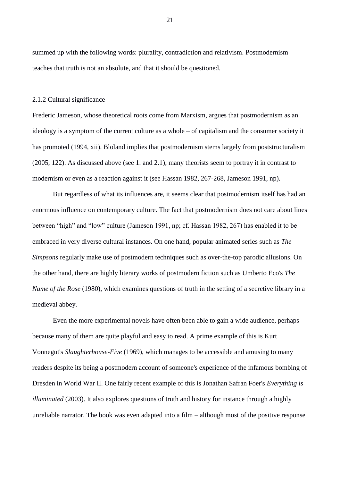summed up with the following words: plurality, contradiction and relativism. Postmodernism teaches that truth is not an absolute, and that it should be questioned.

#### 2.1.2 Cultural significance

Frederic Jameson, whose theoretical roots come from Marxism, argues that postmodernism as an ideology is a symptom of the current culture as a whole – of capitalism and the consumer society it has promoted (1994, xii). Bloland implies that postmodernism stems largely from poststructuralism (2005, 122). As discussed above (see 1. and 2.1), many theorists seem to portray it in contrast to modernism or even as a reaction against it (see Hassan 1982, 267-268, Jameson 1991, np).

But regardless of what its influences are, it seems clear that postmodernism itself has had an enormous influence on contemporary culture. The fact that postmodernism does not care about lines between "high" and "low" culture (Jameson 1991, np; cf. Hassan 1982, 267) has enabled it to be embraced in very diverse cultural instances. On one hand, popular animated series such as *The Simpsons* regularly make use of postmodern techniques such as over-the-top parodic allusions. On the other hand, there are highly literary works of postmodern fiction such as Umberto Eco's *The Name of the Rose* (1980), which examines questions of truth in the setting of a secretive library in a medieval abbey.

Even the more experimental novels have often been able to gain a wide audience, perhaps because many of them are quite playful and easy to read. A prime example of this is Kurt Vonnegut's *Slaughterhouse-Five* (1969), which manages to be accessible and amusing to many readers despite its being a postmodern account of someone's experience of the infamous bombing of Dresden in World War II. One fairly recent example of this is Jonathan Safran Foer's *Everything is illuminated* (2003). It also explores questions of truth and history for instance through a highly unreliable narrator. The book was even adapted into a film – although most of the positive response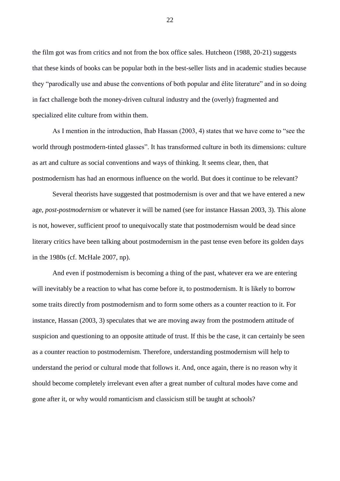the film got was from critics and not from the box office sales. Hutcheon (1988, 20-21) suggests that these kinds of books can be popular both in the best-seller lists and in academic studies because they "parodically use and abuse the conventions of both popular and élite literature" and in so doing in fact challenge both the money-driven cultural industry and the (overly) fragmented and specialized elite culture from within them.

As I mention in the introduction, Ihab Hassan (2003, 4) states that we have come to "see the world through postmodern-tinted glasses". It has transformed culture in both its dimensions: culture as art and culture as social conventions and ways of thinking. It seems clear, then, that postmodernism has had an enormous influence on the world. But does it continue to be relevant?

Several theorists have suggested that postmodernism is over and that we have entered a new age, *post-postmodernism* or whatever it will be named (see for instance Hassan 2003, 3). This alone is not, however, sufficient proof to unequivocally state that postmodernism would be dead since literary critics have been talking about postmodernism in the past tense even before its golden days in the 1980s (cf. McHale 2007, np).

And even if postmodernism is becoming a thing of the past, whatever era we are entering will inevitably be a reaction to what has come before it, to postmodernism. It is likely to borrow some traits directly from postmodernism and to form some others as a counter reaction to it. For instance, Hassan (2003, 3) speculates that we are moving away from the postmodern attitude of suspicion and questioning to an opposite attitude of trust. If this be the case, it can certainly be seen as a counter reaction to postmodernism. Therefore, understanding postmodernism will help to understand the period or cultural mode that follows it. And, once again, there is no reason why it should become completely irrelevant even after a great number of cultural modes have come and gone after it, or why would romanticism and classicism still be taught at schools?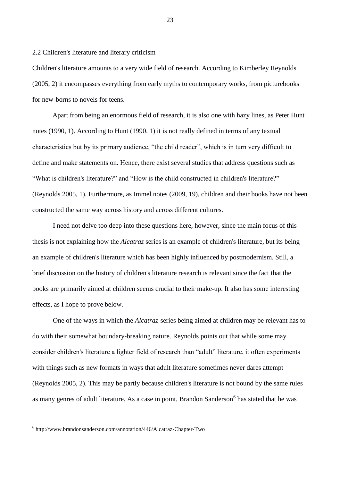## 2.2 Children's literature and literary criticism

Children's literature amounts to a very wide field of research. According to Kimberley Reynolds (2005, 2) it encompasses everything from early myths to contemporary works, from picturebooks for new-borns to novels for teens.

Apart from being an enormous field of research, it is also one with hazy lines, as Peter Hunt notes (1990, 1). According to Hunt (1990. 1) it is not really defined in terms of any textual characteristics but by its primary audience, "the child reader", which is in turn very difficult to define and make statements on. Hence, there exist several studies that address questions such as "What is children's literature?" and "How is the child constructed in children's literature?" (Reynolds 2005, 1). Furthermore, as Immel notes (2009, 19), children and their books have not been constructed the same way across history and across different cultures.

I need not delve too deep into these questions here, however, since the main focus of this thesis is not explaining how the *Alcatraz* series is an example of children's literature, but its being an example of children's literature which has been highly influenced by postmodernism. Still, a brief discussion on the history of children's literature research is relevant since the fact that the books are primarily aimed at children seems crucial to their make-up. It also has some interesting effects, as I hope to prove below.

One of the ways in which the *Alcatraz*-series being aimed at children may be relevant has to do with their somewhat boundary-breaking nature. Reynolds points out that while some may consider children's literature a lighter field of research than "adult" literature, it often experiments with things such as new formats in ways that adult literature sometimes never dares attempt (Reynolds 2005, 2). This may be partly because children's literature is not bound by the same rules as many genres of adult literature. As a case in point, Brandon Sanderson<sup>6</sup> has stated that he was

<u>.</u>

<sup>6</sup> http://www.brandonsanderson.com/annotation/446/Alcatraz-Chapter-Two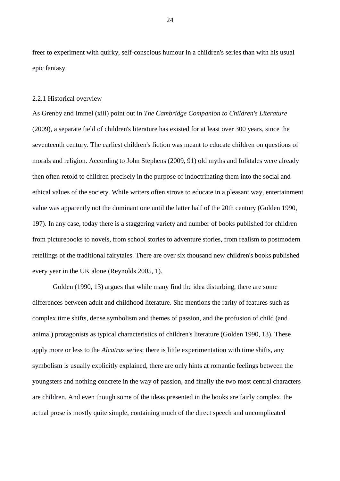freer to experiment with quirky, self-conscious humour in a children's series than with his usual epic fantasy.

# 2.2.1 Historical overview

As Grenby and Immel (xiii) point out in *The Cambridge Companion to Children's Literature* (2009), a separate field of children's literature has existed for at least over 300 years, since the seventeenth century. The earliest children's fiction was meant to educate children on questions of morals and religion. According to John Stephens (2009, 91) old myths and folktales were already then often retold to children precisely in the purpose of indoctrinating them into the social and ethical values of the society. While writers often strove to educate in a pleasant way, entertainment value was apparently not the dominant one until the latter half of the 20th century (Golden 1990, 197). In any case, today there is a staggering variety and number of books published for children from picturebooks to novels, from school stories to adventure stories, from realism to postmodern retellings of the traditional fairytales. There are over six thousand new children's books published every year in the UK alone (Reynolds 2005, 1).

Golden (1990, 13) argues that while many find the idea disturbing, there are some differences between adult and childhood literature. She mentions the rarity of features such as complex time shifts, dense symbolism and themes of passion, and the profusion of child (and animal) protagonists as typical characteristics of children's literature (Golden 1990, 13). These apply more or less to the *Alcatraz* series: there is little experimentation with time shifts, any symbolism is usually explicitly explained, there are only hints at romantic feelings between the youngsters and nothing concrete in the way of passion, and finally the two most central characters are children. And even though some of the ideas presented in the books are fairly complex, the actual prose is mostly quite simple, containing much of the direct speech and uncomplicated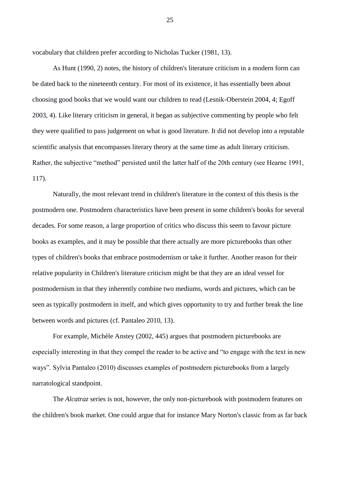vocabulary that children prefer according to Nicholas Tucker (1981, 13).

As Hunt (1990, 2) notes, the history of children's literature criticism in a modern form can be dated back to the nineteenth century. For most of its existence, it has essentially been about choosing good books that we would want our children to read (Lesnik-Oberstein 2004, 4; Egoff 2003, 4). Like literary criticism in general, it began as subjective commenting by people who felt they were qualified to pass judgement on what is good literature. It did not develop into a reputable scientific analysis that encompasses literary theory at the same time as adult literary criticism. Rather, the subjective "method" persisted until the latter half of the 20th century (see Hearne 1991, 117).

Naturally, the most relevant trend in children's literature in the context of this thesis is the postmodern one. Postmodern characteristics have been present in some children's books for several decades. For some reason, a large proportion of critics who discuss this seem to favour picture books as examples, and it may be possible that there actually are more picturebooks than other types of children's books that embrace postmodernism or take it further. Another reason for their relative popularity in Children's literature criticism might be that they are an ideal vessel for postmodernism in that they inherently combine two mediums, words and pictures, which can be seen as typically postmodern in itself, and which gives opportunity to try and further break the line between words and pictures (cf. Pantaleo 2010, 13).

For example, Michèle Anstey (2002, 445) argues that postmodern picturebooks are especially interesting in that they compel the reader to be active and "to engage with the text in new ways". Sylvia Pantaleo (2010) discusses examples of postmodern picturebooks from a largely narratological standpoint.

The *Alcatraz* series is not, however, the only non-picturebook with postmodern features on the children's book market. One could argue that for instance Mary Norton's classic from as far back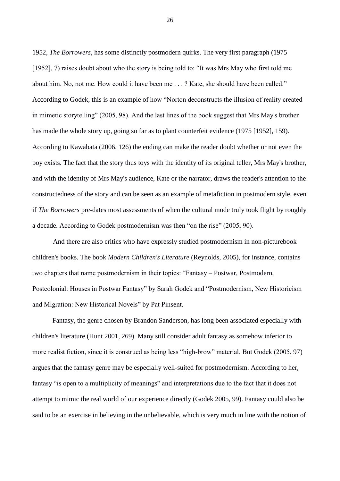1952, *The Borrowers*, has some distinctly postmodern quirks. The very first paragraph (1975 [1952], 7) raises doubt about who the story is being told to: "It was Mrs May who first told me about him. No, not me. How could it have been me . . . ? Kate, she should have been called." According to Godek, this is an example of how "Norton deconstructs the illusion of reality created in mimetic storytelling" (2005, 98). And the last lines of the book suggest that Mrs May's brother has made the whole story up, going so far as to plant counterfeit evidence (1975 [1952], 159). According to Kawabata (2006, 126) the ending can make the reader doubt whether or not even the boy exists. The fact that the story thus toys with the identity of its original teller, Mrs May's brother, and with the identity of Mrs May's audience, Kate or the narrator, draws the reader's attention to the constructedness of the story and can be seen as an example of metafiction in postmodern style, even if *The Borrowers* pre-dates most assessments of when the cultural mode truly took flight by roughly a decade. According to Godek postmodernism was then "on the rise" (2005, 90).

And there are also critics who have expressly studied postmodernism in non-picturebook children's books. The book *Modern Children's Literature* (Reynolds, 2005), for instance, contains two chapters that name postmodernism in their topics: "Fantasy – Postwar, Postmodern, Postcolonial: Houses in Postwar Fantasy" by Sarah Godek and "Postmodernism, New Historicism and Migration: New Historical Novels" by Pat Pinsent.

Fantasy, the genre chosen by Brandon Sanderson, has long been associated especially with children's literature (Hunt 2001, 269). Many still consider adult fantasy as somehow inferior to more realist fiction, since it is construed as being less "high-brow" material. But Godek (2005, 97) argues that the fantasy genre may be especially well-suited for postmodernism. According to her, fantasy "is open to a multiplicity of meanings" and interpretations due to the fact that it does not attempt to mimic the real world of our experience directly (Godek 2005, 99). Fantasy could also be said to be an exercise in believing in the unbelievable, which is very much in line with the notion of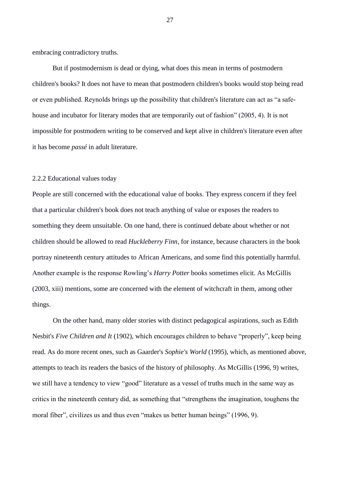embracing contradictory truths.

But if postmodernism is dead or dying, what does this mean in terms of postmodern children's books? It does not have to mean that postmodern children's books would stop being read or even published. Reynolds brings up the possibility that children's literature can act as "a safehouse and incubator for literary modes that are temporarily out of fashion" (2005, 4). It is not impossible for postmodern writing to be conserved and kept alive in children's literature even after it has become *passé* in adult literature.

#### 2.2.2 Educational values today

People are still concerned with the educational value of books. They express concern if they feel that a particular children's book does not teach anything of value or exposes the readers to something they deem unsuitable. On one hand, there is continued debate about whether or not children should be allowed to read *Huckleberry Finn*, for instance, because characters in the book portray nineteenth century attitudes to African Americans, and some find this potentially harmful. Another example is the response Rowling's *Harry Potter* books sometimes elicit. As McGillis (2003, xiii) mentions, some are concerned with the element of witchcraft in them, among other things.

On the other hand, many older stories with distinct pedagogical aspirations, such as Edith Nesbit's *Five Children and It* (1902), which encourages children to behave "properly", keep being read. As do more recent ones, such as Gaarder's *Sophie's World* (1995), which, as mentioned above, attempts to teach its readers the basics of the history of philosophy. As McGillis (1996, 9) writes, we still have a tendency to view "good" literature as a vessel of truths much in the same way as critics in the nineteenth century did, as something that "strengthens the imagination, toughens the moral fiber", civilizes us and thus even "makes us better human beings" (1996, 9).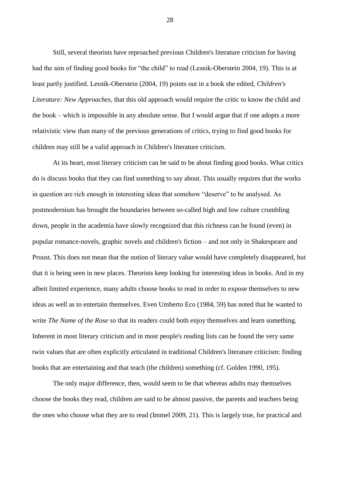Still, several theorists have reproached previous Children's literature criticism for having had the aim of finding good books for "the child" to read (Lesnik-Oberstein 2004, 19). This is at least partly justified. Lesnik-Oberstein (2004, 19) points out in a book she edited, *Children's Literature: New Approaches*, that this old approach would require the critic to know the child and the book – which is impossible in any absolute sense. But I would argue that if one adopts a more relativistic view than many of the previous generations of critics, trying to find good books for children may still be a valid approach in Children's literature criticism.

At its heart, most literary criticism can be said to be about finding good books. What critics do is discuss books that they can find something to say about. This usually requires that the works in question are rich enough in interesting ideas that somehow "deserve" to be analysed. As postmodernism has brought the boundaries between so-called high and low culture crumbling down, people in the academia have slowly recognized that this richness can be found (even) in popular romance-novels, graphic novels and children's fiction – and not only in Shakespeare and Proust. This does not mean that the notion of literary value would have completely disappeared, but that it is being seen in new places. Theorists keep looking for interesting ideas in books. And in my albeit limited experience, many adults choose books to read in order to expose themselves to new ideas as well as to entertain themselves. Even Umberto Eco (1984, 59) has noted that he wanted to write *The Name of the Rose* so that its readers could both enjoy themselves and learn something. Inherent in most literary criticism and in most people's reading lists can be found the very same twin values that are often explicitly articulated in traditional Children's literature criticism: finding books that are entertaining and that teach (the children) something (cf. Golden 1990, 195).

The only major difference, then, would seem to be that whereas adults may themselves choose the books they read, children are said to be almost passive, the parents and teachers being the ones who choose what they are to read (Immel 2009, 21). This is largely true, for practical and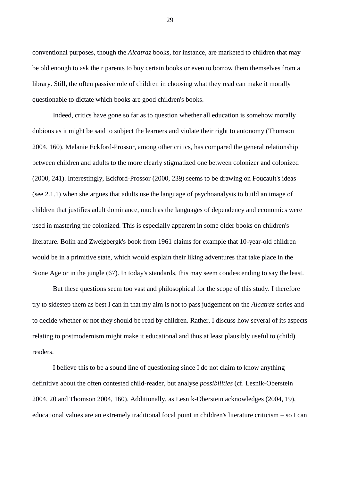conventional purposes, though the *Alcatraz* books, for instance, are marketed to children that may be old enough to ask their parents to buy certain books or even to borrow them themselves from a library. Still, the often passive role of children in choosing what they read can make it morally questionable to dictate which books are good children's books.

Indeed, critics have gone so far as to question whether all education is somehow morally dubious as it might be said to subject the learners and violate their right to autonomy (Thomson 2004, 160). Melanie Eckford-Prossor, among other critics, has compared the general relationship between children and adults to the more clearly stigmatized one between colonizer and colonized (2000, 241). Interestingly, Eckford-Prossor (2000, 239) seems to be drawing on Foucault's ideas (see 2.1.1) when she argues that adults use the language of psychoanalysis to build an image of children that justifies adult dominance, much as the languages of dependency and economics were used in mastering the colonized. This is especially apparent in some older books on children's literature. Bolin and Zweigbergk's book from 1961 claims for example that 10-year-old children would be in a primitive state, which would explain their liking adventures that take place in the Stone Age or in the jungle (67). In today's standards, this may seem condescending to say the least.

But these questions seem too vast and philosophical for the scope of this study. I therefore try to sidestep them as best I can in that my aim is not to pass judgement on the *Alcatraz*-series and to decide whether or not they should be read by children. Rather, I discuss how several of its aspects relating to postmodernism might make it educational and thus at least plausibly useful to (child) readers.

I believe this to be a sound line of questioning since I do not claim to know anything definitive about the often contested child-reader, but analyse *possibilities* (cf. Lesnik-Oberstein 2004, 20 and Thomson 2004, 160). Additionally, as Lesnik-Oberstein acknowledges (2004, 19), educational values are an extremely traditional focal point in children's literature criticism – so I can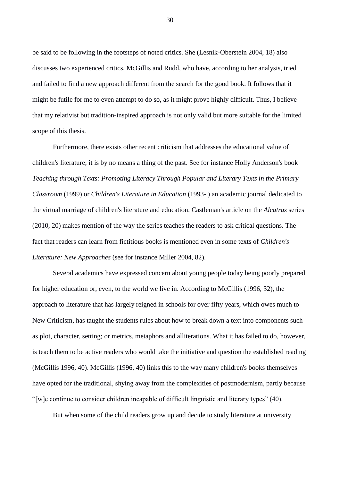be said to be following in the footsteps of noted critics. She (Lesnik-Oberstein 2004, 18) also discusses two experienced critics, McGillis and Rudd, who have, according to her analysis, tried and failed to find a new approach different from the search for the good book. It follows that it might be futile for me to even attempt to do so, as it might prove highly difficult. Thus, I believe that my relativist but tradition-inspired approach is not only valid but more suitable for the limited scope of this thesis.

Furthermore, there exists other recent criticism that addresses the educational value of children's literature; it is by no means a thing of the past. See for instance Holly Anderson's book *Teaching through Texts: Promoting Literacy Through Popular and Literary Texts in the Primary Classroom* (1999) or *Children's Literature in Education* (1993- ) an academic journal dedicated to the virtual marriage of children's literature and education. Castleman's article on the *Alcatraz* series (2010, 20) makes mention of the way the series teaches the readers to ask critical questions. The fact that readers can learn from fictitious books is mentioned even in some texts of *Children's Literature: New Approaches* (see for instance Miller 2004, 82).

Several academics have expressed concern about young people today being poorly prepared for higher education or, even, to the world we live in. According to McGillis (1996, 32), the approach to literature that has largely reigned in schools for over fifty years, which owes much to New Criticism, has taught the students rules about how to break down a text into components such as plot, character, setting; or metrics, metaphors and alliterations. What it has failed to do, however, is teach them to be active readers who would take the initiative and question the established reading (McGillis 1996, 40). McGillis (1996, 40) links this to the way many children's books themselves have opted for the traditional, shying away from the complexities of postmodernism, partly because "[w]e continue to consider children incapable of difficult linguistic and literary types" (40).

But when some of the child readers grow up and decide to study literature at university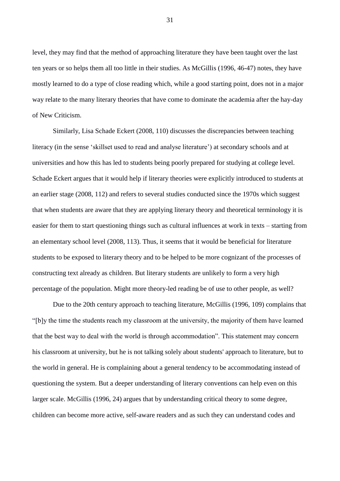level, they may find that the method of approaching literature they have been taught over the last ten years or so helps them all too little in their studies. As McGillis (1996, 46-47) notes, they have mostly learned to do a type of close reading which, while a good starting point, does not in a major way relate to the many literary theories that have come to dominate the academia after the hay-day of New Criticism.

Similarly, Lisa Schade Eckert (2008, 110) discusses the discrepancies between teaching literacy (in the sense 'skillset used to read and analyse literature') at secondary schools and at universities and how this has led to students being poorly prepared for studying at college level. Schade Eckert argues that it would help if literary theories were explicitly introduced to students at an earlier stage (2008, 112) and refers to several studies conducted since the 1970s which suggest that when students are aware that they are applying literary theory and theoretical terminology it is easier for them to start questioning things such as cultural influences at work in texts – starting from an elementary school level (2008, 113). Thus, it seems that it would be beneficial for literature students to be exposed to literary theory and to be helped to be more cognizant of the processes of constructing text already as children. But literary students are unlikely to form a very high percentage of the population. Might more theory-led reading be of use to other people, as well?

Due to the 20th century approach to teaching literature, McGillis (1996, 109) complains that "[b]y the time the students reach my classroom at the university, the majority of them have learned that the best way to deal with the world is through accommodation". This statement may concern his classroom at university, but he is not talking solely about students' approach to literature, but to the world in general. He is complaining about a general tendency to be accommodating instead of questioning the system. But a deeper understanding of literary conventions can help even on this larger scale. McGillis (1996, 24) argues that by understanding critical theory to some degree, children can become more active, self-aware readers and as such they can understand codes and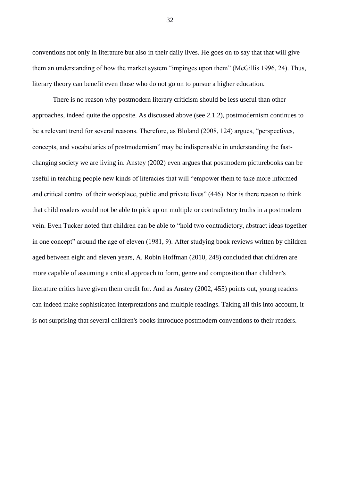conventions not only in literature but also in their daily lives. He goes on to say that that will give them an understanding of how the market system "impinges upon them" (McGillis 1996, 24). Thus, literary theory can benefit even those who do not go on to pursue a higher education.

There is no reason why postmodern literary criticism should be less useful than other approaches, indeed quite the opposite. As discussed above (see 2.1.2), postmodernism continues to be a relevant trend for several reasons. Therefore, as Bloland (2008, 124) argues, "perspectives, concepts, and vocabularies of postmodernism" may be indispensable in understanding the fastchanging society we are living in. Anstey (2002) even argues that postmodern picturebooks can be useful in teaching people new kinds of literacies that will "empower them to take more informed and critical control of their workplace, public and private lives" (446). Nor is there reason to think that child readers would not be able to pick up on multiple or contradictory truths in a postmodern vein. Even Tucker noted that children can be able to "hold two contradictory, abstract ideas together in one concept" around the age of eleven (1981, 9). After studying book reviews written by children aged between eight and eleven years, A. Robin Hoffman (2010, 248) concluded that children are more capable of assuming a critical approach to form, genre and composition than children's literature critics have given them credit for. And as Anstey (2002, 455) points out, young readers can indeed make sophisticated interpretations and multiple readings. Taking all this into account, it is not surprising that several children's books introduce postmodern conventions to their readers.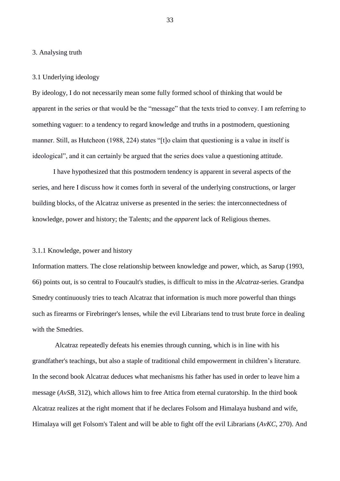#### 3. Analysing truth

#### 3.1 Underlying ideology

By ideology, I do not necessarily mean some fully formed school of thinking that would be apparent in the series or that would be the "message" that the texts tried to convey. I am referring to something vaguer: to a tendency to regard knowledge and truths in a postmodern, questioning manner. Still, as Hutcheon (1988, 224) states "[t]o claim that questioning is a value in itself is ideological", and it can certainly be argued that the series does value a questioning attitude.

I have hypothesized that this postmodern tendency is apparent in several aspects of the series, and here I discuss how it comes forth in several of the underlying constructions, or larger building blocks, of the Alcatraz universe as presented in the series: the interconnectedness of knowledge, power and history; the Talents; and the *apparent* lack of Religious themes.

# 3.1.1 Knowledge, power and history

Information matters. The close relationship between knowledge and power, which, as Sarup (1993, 66) points out, is so central to Foucault's studies, is difficult to miss in the *Alcatraz*-series. Grandpa Smedry continuously tries to teach Alcatraz that information is much more powerful than things such as firearms or Firebringer's lenses, while the evil Librarians tend to trust brute force in dealing with the Smedries.

Alcatraz repeatedly defeats his enemies through cunning, which is in line with his grandfather's teachings, but also a staple of traditional child empowerment in children's literature. In the second book Alcatraz deduces what mechanisms his father has used in order to leave him a message (*AvSB*, 312), which allows him to free Attica from eternal curatorship. In the third book Alcatraz realizes at the right moment that if he declares Folsom and Himalaya husband and wife, Himalaya will get Folsom's Talent and will be able to fight off the evil Librarians (*AvKC*, 270). And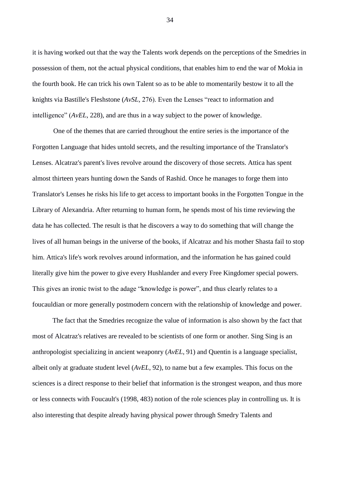it is having worked out that the way the Talents work depends on the perceptions of the Smedries in possession of them, not the actual physical conditions, that enables him to end the war of Mokia in the fourth book. He can trick his own Talent so as to be able to momentarily bestow it to all the knights via Bastille's Fleshstone (*AvSL*, 276). Even the Lenses "react to information and intelligence" (*AvEL*, 228), and are thus in a way subject to the power of knowledge.

One of the themes that are carried throughout the entire series is the importance of the Forgotten Language that hides untold secrets, and the resulting importance of the Translator's Lenses. Alcatraz's parent's lives revolve around the discovery of those secrets. Attica has spent almost thirteen years hunting down the Sands of Rashid. Once he manages to forge them into Translator's Lenses he risks his life to get access to important books in the Forgotten Tongue in the Library of Alexandria. After returning to human form, he spends most of his time reviewing the data he has collected. The result is that he discovers a way to do something that will change the lives of all human beings in the universe of the books, if Alcatraz and his mother Shasta fail to stop him. Attica's life's work revolves around information, and the information he has gained could literally give him the power to give every Hushlander and every Free Kingdomer special powers. This gives an ironic twist to the adage "knowledge is power", and thus clearly relates to a foucauldian or more generally postmodern concern with the relationship of knowledge and power.

The fact that the Smedries recognize the value of information is also shown by the fact that most of Alcatraz's relatives are revealed to be scientists of one form or another. Sing Sing is an anthropologist specializing in ancient weaponry (*AvEL*, 91) and Quentin is a language specialist, albeit only at graduate student level (*AvEL*, 92), to name but a few examples. This focus on the sciences is a direct response to their belief that information is the strongest weapon, and thus more or less connects with Foucault's (1998, 483) notion of the role sciences play in controlling us. It is also interesting that despite already having physical power through Smedry Talents and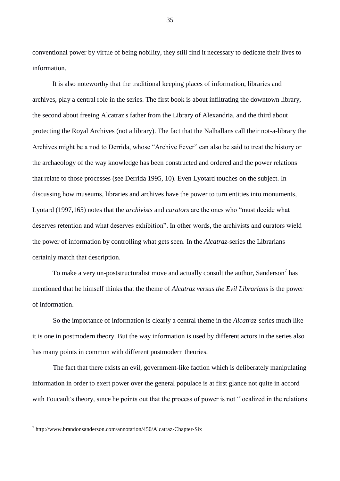conventional power by virtue of being nobility, they still find it necessary to dedicate their lives to information.

It is also noteworthy that the traditional keeping places of information, libraries and archives, play a central role in the series. The first book is about infiltrating the downtown library, the second about freeing Alcatraz's father from the Library of Alexandria, and the third about protecting the Royal Archives (not a library). The fact that the Nalhallans call their not-a-library the Archives might be a nod to Derrida, whose "Archive Fever" can also be said to treat the history or the archaeology of the way knowledge has been constructed and ordered and the power relations that relate to those processes (see Derrida 1995, 10). Even Lyotard touches on the subject. In discussing how museums, libraries and archives have the power to turn entities into monuments, Lyotard (1997,165) notes that the *archivists* and *curators* are the ones who "must decide what deserves retention and what deserves exhibition". In other words, the archivists and curators wield the power of information by controlling what gets seen. In the *Alcatraz*-series the Librarians certainly match that description.

To make a very un-poststructuralist move and actually consult the author, Sanderson<sup>7</sup> has mentioned that he himself thinks that the theme of *Alcatraz versus the Evil Librarians* is the power of information.

So the importance of information is clearly a central theme in the *Alcatraz*-series much like it is one in postmodern theory. But the way information is used by different actors in the series also has many points in common with different postmodern theories.

The fact that there exists an evil, government-like faction which is deliberately manipulating information in order to exert power over the general populace is at first glance not quite in accord with Foucault's theory, since he points out that the process of power is not "localized in the relations"

<u>.</u>

<sup>7</sup> http://www.brandonsanderson.com/annotation/450/Alcatraz-Chapter-Six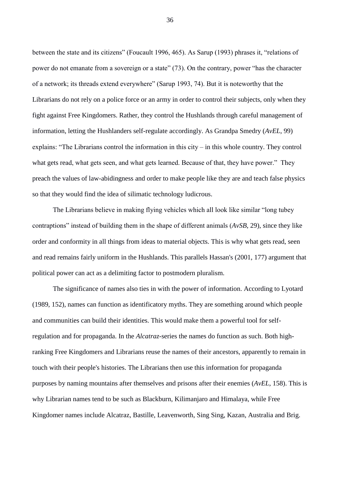between the state and its citizens" (Foucault 1996, 465). As Sarup (1993) phrases it, "relations of power do not emanate from a sovereign or a state" (73). On the contrary, power "has the character of a network; its threads extend everywhere" (Sarup 1993, 74). But it is noteworthy that the Librarians do not rely on a police force or an army in order to control their subjects, only when they fight against Free Kingdomers. Rather, they control the Hushlands through careful management of information, letting the Hushlanders self-regulate accordingly. As Grandpa Smedry (*AvEL*, 99) explains: "The Librarians control the information in this city – in this whole country. They control what gets read, what gets seen, and what gets learned. Because of that, they have power." They preach the values of law-abidingness and order to make people like they are and teach false physics so that they would find the idea of silimatic technology ludicrous.

The Librarians believe in making flying vehicles which all look like similar "long tubey contraptions" instead of building them in the shape of different animals (*AvSB*, 29), since they like order and conformity in all things from ideas to material objects. This is why what gets read, seen and read remains fairly uniform in the Hushlands. This parallels Hassan's (2001, 177) argument that political power can act as a delimiting factor to postmodern pluralism.

The significance of names also ties in with the power of information. According to Lyotard (1989, 152), names can function as identificatory myths. They are something around which people and communities can build their identities. This would make them a powerful tool for selfregulation and for propaganda. In the *Alcatraz*-series the names do function as such. Both highranking Free Kingdomers and Librarians reuse the names of their ancestors, apparently to remain in touch with their people's histories. The Librarians then use this information for propaganda purposes by naming mountains after themselves and prisons after their enemies (*AvEL*, 158). This is why Librarian names tend to be such as Blackburn, Kilimanjaro and Himalaya, while Free Kingdomer names include Alcatraz, Bastille, Leavenworth, Sing Sing, Kazan, Australia and Brig.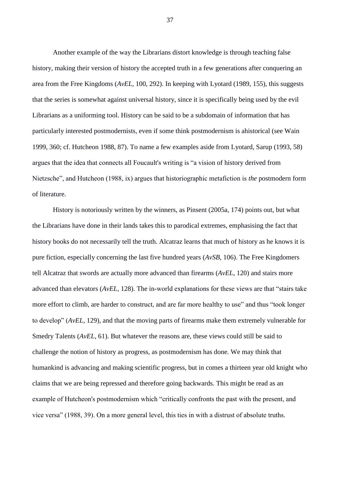Another example of the way the Librarians distort knowledge is through teaching false history, making their version of history the accepted truth in a few generations after conquering an area from the Free Kingdoms (*AvEL*, 100, 292). In keeping with Lyotard (1989, 155), this suggests that the series is somewhat against universal history, since it is specifically being used by the evil Librarians as a uniforming tool. History can be said to be a subdomain of information that has particularly interested postmodernists, even if some think postmodernism is ahistorical (see Wain 1999, 360; cf. Hutcheon 1988, 87). To name a few examples aside from Lyotard, Sarup (1993, 58) argues that the idea that connects all Foucault's writing is "a vision of history derived from Nietzsche", and Hutcheon (1988, ix) argues that historiographic metafiction is *the* postmodern form of literature.

History is notoriously written by the winners, as Pinsent (2005a, 174) points out, but what the Librarians have done in their lands takes this to parodical extremes, emphasising the fact that history books do not necessarily tell the truth. Alcatraz learns that much of history as he knows it is pure fiction, especially concerning the last five hundred years (*AvSB*, 106). The Free Kingdomers tell Alcatraz that swords are actually more advanced than firearms (*AvEL*, 120) and stairs more advanced than elevators (*AvEL*, 128). The in-world explanations for these views are that "stairs take more effort to climb, are harder to construct, and are far more healthy to use" and thus "took longer to develop" (*AvEL*, 129), and that the moving parts of firearms make them extremely vulnerable for Smedry Talents (*AvEL*, 61). But whatever the reasons are, these views could still be said to challenge the notion of history as progress, as postmodernism has done. We may think that humankind is advancing and making scientific progress, but in comes a thirteen year old knight who claims that we are being repressed and therefore going backwards. This might be read as an example of Hutcheon's postmodernism which "critically confronts the past with the present, and vice versa" (1988, 39). On a more general level, this ties in with a distrust of absolute truths.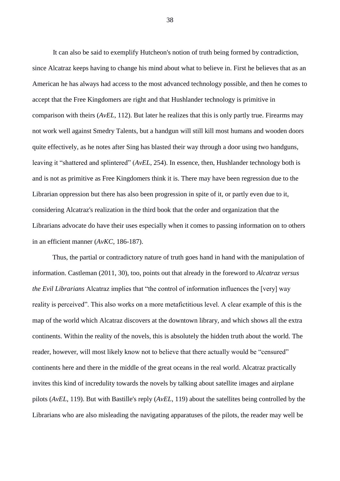It can also be said to exemplify Hutcheon's notion of truth being formed by contradiction, since Alcatraz keeps having to change his mind about what to believe in. First he believes that as an American he has always had access to the most advanced technology possible, and then he comes to accept that the Free Kingdomers are right and that Hushlander technology is primitive in comparison with theirs (*AvEL*, 112). But later he realizes that this is only partly true. Firearms may not work well against Smedry Talents, but a handgun will still kill most humans and wooden doors quite effectively, as he notes after Sing has blasted their way through a door using two handguns, leaving it "shattered and splintered" (*AvEL*, 254). In essence, then, Hushlander technology both is and is not as primitive as Free Kingdomers think it is. There may have been regression due to the Librarian oppression but there has also been progression in spite of it, or partly even due to it, considering Alcatraz's realization in the third book that the order and organization that the Librarians advocate do have their uses especially when it comes to passing information on to others in an efficient manner (*AvKC*, 186-187).

Thus, the partial or contradictory nature of truth goes hand in hand with the manipulation of information. Castleman (2011, 30), too, points out that already in the foreword to *Alcatraz versus the Evil Librarians* Alcatraz implies that "the control of information influences the [very] way reality is perceived". This also works on a more metafictitious level. A clear example of this is the map of the world which Alcatraz discovers at the downtown library, and which shows all the extra continents. Within the reality of the novels, this is absolutely the hidden truth about the world. The reader, however, will most likely know not to believe that there actually would be "censured" continents here and there in the middle of the great oceans in the real world. Alcatraz practically invites this kind of incredulity towards the novels by talking about satellite images and airplane pilots (*AvEL*, 119). But with Bastille's reply (*AvEL*, 119) about the satellites being controlled by the Librarians who are also misleading the navigating apparatuses of the pilots, the reader may well be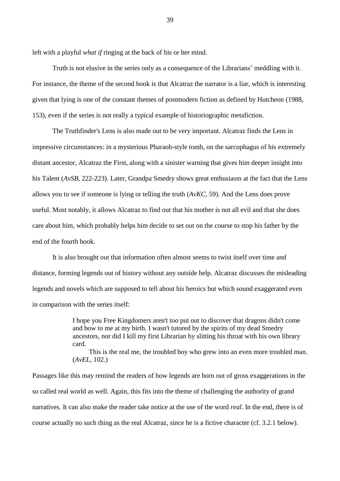left with a playful *what if* ringing at the back of his or her mind.

Truth is not elusive in the series only as a consequence of the Librarians' meddling with it. For instance, the theme of the second book is that Alcatraz the narrator is a liar, which is interesting given that lying is one of the constant themes of postmodern fiction as defined by Hutcheon (1988, 153), even if the series is not really a typical example of historiographic metafiction.

The Truthfinder's Lens is also made out to be very important. Alcatraz finds the Lens in impressive circumstances: in a mysterious Pharaoh-style tomb, on the sarcophagus of his extremely distant ancestor, Alcatraz the First, along with a sinister warning that gives him deeper insight into his Talent (*AvSB*, 222-223). Later, Grandpa Smedry shows great enthusiasm at the fact that the Lens allows you to see if someone is lying or telling the truth (*AvKC*, 59). And the Lens does prove useful. Most notably, it allows Alcatraz to find out that his mother is not all evil and that she does care about him, which probably helps him decide to set out on the course to stop his father by the end of the fourth book.

It is also brought out that information often almost seems to twist itself over time and distance, forming legends out of history without any outside help. Alcatraz discusses the misleading legends and novels which are supposed to tell about his heroics but which sound exaggerated even in comparison with the series itself:

> I hope you Free Kingdomers aren't *too* put out to discover that dragons didn't come and bow to me at my birth. I wasn't tutored by the spirits of my dead Smedry ancestors, nor did I kill my first Librarian by slitting his throat with his own library card.

This is the real me, the troubled boy who grew into an even more troubled man. (*AvEL*, 102.)

Passages like this may remind the readers of how legends are born out of gross exaggerations in the so called real world as well. Again, this fits into the theme of challenging the authority of grand narratives. It can also make the reader take notice at the use of the word *real*. In the end, there is of course actually no such thing as the real Alcatraz, since he is a fictive character (cf. 3.2.1 below).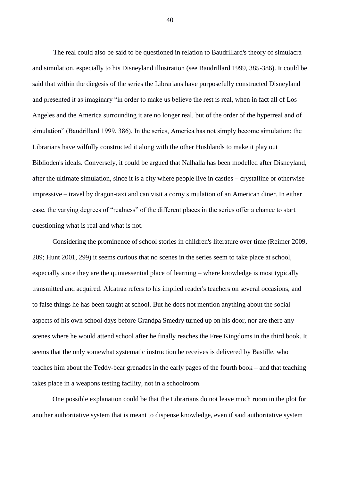The real could also be said to be questioned in relation to Baudrillard's theory of simulacra and simulation, especially to his Disneyland illustration (see Baudrillard 1999, 385-386). It could be said that within the diegesis of the series the Librarians have purposefully constructed Disneyland and presented it as imaginary "in order to make us believe the rest is real, when in fact all of Los Angeles and the America surrounding it are no longer real, but of the order of the hyperreal and of simulation" (Baudrillard 1999, 386). In the series, America has not simply become simulation; the Librarians have wilfully constructed it along with the other Hushlands to make it play out Biblioden's ideals. Conversely, it could be argued that Nalhalla has been modelled after Disneyland, after the ultimate simulation, since it is a city where people live in castles – crystalline or otherwise impressive – travel by dragon-taxi and can visit a corny simulation of an American diner. In either case, the varying degrees of "realness" of the different places in the series offer a chance to start questioning what is real and what is not.

Considering the prominence of school stories in children's literature over time (Reimer 2009, 209; Hunt 2001, 299) it seems curious that no scenes in the series seem to take place at school, especially since they are the quintessential place of learning – where knowledge is most typically transmitted and acquired. Alcatraz refers to his implied reader's teachers on several occasions, and to false things he has been taught at school. But he does not mention anything about the social aspects of his own school days before Grandpa Smedry turned up on his door, nor are there any scenes where he would attend school after he finally reaches the Free Kingdoms in the third book. It seems that the only somewhat systematic instruction he receives is delivered by Bastille, who teaches him about the Teddy-bear grenades in the early pages of the fourth book – and that teaching takes place in a weapons testing facility, not in a schoolroom.

One possible explanation could be that the Librarians do not leave much room in the plot for another authoritative system that is meant to dispense knowledge, even if said authoritative system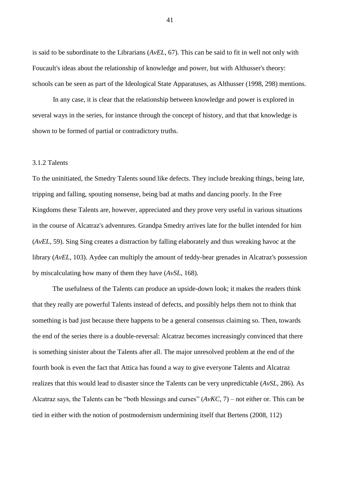is said to be subordinate to the Librarians (*AvEL*, 67). This can be said to fit in well not only with Foucault's ideas about the relationship of knowledge and power, but with Althusser's theory: schools can be seen as part of the Ideological State Apparatuses, as Althusser (1998, 298) mentions.

In any case, it is clear that the relationship between knowledge and power is explored in several ways in the series, for instance through the concept of history, and that that knowledge is shown to be formed of partial or contradictory truths.

#### 3.1.2 Talents

To the uninitiated, the Smedry Talents sound like defects. They include breaking things, being late, tripping and falling, spouting nonsense, being bad at maths and dancing poorly. In the Free Kingdoms these Talents are, however, appreciated and they prove very useful in various situations in the course of Alcatraz's adventures. Grandpa Smedry arrives late for the bullet intended for him (*AvEL*, 59). Sing Sing creates a distraction by falling elaborately and thus wreaking havoc at the library (*AvEL*, 103). Aydee can multiply the amount of teddy-bear grenades in Alcatraz's possession by miscalculating how many of them they have (*AvSL*, 168).

The usefulness of the Talents can produce an upside-down look; it makes the readers think that they really are powerful Talents instead of defects, and possibly helps them not to think that something is bad just because there happens to be a general consensus claiming so. Then, towards the end of the series there is a double-reversal: Alcatraz becomes increasingly convinced that there is something sinister about the Talents after all. The major unresolved problem at the end of the fourth book is even the fact that Attica has found a way to give everyone Talents and Alcatraz realizes that this would lead to disaster since the Talents can be very unpredictable (*AvSL*, 286). As Alcatraz says, the Talents can be "both blessings and curses" (*AvKC*, 7) – not either or. This can be tied in either with the notion of postmodernism undermining itself that Bertens (2008, 112)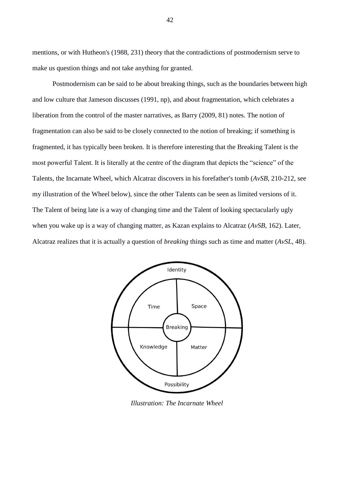mentions, or with Hutheon's (1988, 231) theory that the contradictions of postmodernism serve to make us question things and not take anything for granted.

Postmodernism can be said to be about breaking things, such as the boundaries between high and low culture that Jameson discusses (1991, np), and about fragmentation, which celebrates a liberation from the control of the master narratives, as Barry (2009, 81) notes. The notion of fragmentation can also be said to be closely connected to the notion of breaking; if something is fragmented, it has typically been broken. It is therefore interesting that the Breaking Talent is the most powerful Talent. It is literally at the centre of the diagram that depicts the "science" of the Talents, the Incarnate Wheel, which Alcatraz discovers in his forefather's tomb (*AvSB*, 210-212, see my illustration of the Wheel below), since the other Talents can be seen as limited versions of it. The Talent of being late is a way of changing time and the Talent of looking spectacularly ugly when you wake up is a way of changing matter, as Kazan explains to Alcatraz (*AvSB*, 162). Later, Alcatraz realizes that it is actually a question of *breaking* things such as time and matter (*AvSL*, 48).



*Illustration: The Incarnate Wheel*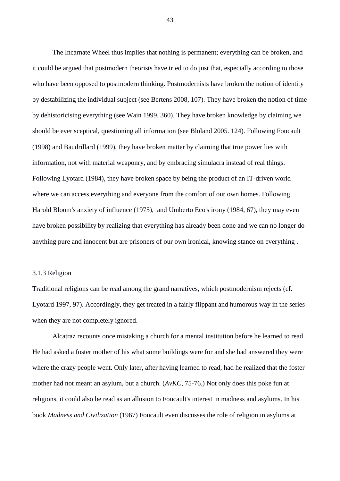The Incarnate Wheel thus implies that nothing is permanent; everything can be broken, and it could be argued that postmodern theorists have tried to do just that, especially according to those who have been opposed to postmodern thinking. Postmodernists have broken the notion of identity by destabilizing the individual subject (see Bertens 2008, 107). They have broken the notion of time by dehistoricising everything (see Wain 1999, 360). They have broken knowledge by claiming we should be ever sceptical, questioning all information (see Bloland 2005. 124). Following Foucault (1998) and Baudrillard (1999), they have broken matter by claiming that true power lies with information, not with material weaponry, and by embracing simulacra instead of real things. Following Lyotard (1984), they have broken space by being the product of an IT-driven world where we can access everything and everyone from the comfort of our own homes. Following Harold Bloom's anxiety of influence (1975), and Umberto Eco's irony (1984, 67), they may even have broken possibility by realizing that everything has already been done and we can no longer do anything pure and innocent but are prisoners of our own ironical, knowing stance on everything .

# 3.1.3 Religion

Traditional religions can be read among the grand narratives, which postmodernism rejects (cf. Lyotard 1997, 97). Accordingly, they get treated in a fairly flippant and humorous way in the series when they are not completely ignored.

Alcatraz recounts once mistaking a church for a mental institution before he learned to read. He had asked a foster mother of his what some buildings were for and she had answered they were where the crazy people went. Only later, after having learned to read, had he realized that the foster mother had not meant an asylum, but a church. (*AvKC*, 75-76.) Not only does this poke fun at religions, it could also be read as an allusion to Foucault's interest in madness and asylums. In his book *Madness and Civilization* (1967) Foucault even discusses the role of religion in asylums at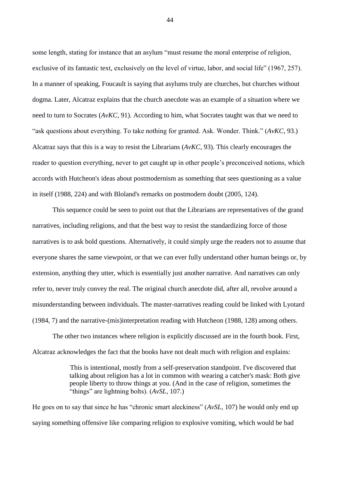some length, stating for instance that an asylum "must resume the moral enterprise of religion, exclusive of its fantastic text, exclusively on the level of virtue, labor, and social life" (1967, 257). In a manner of speaking, Foucault is saying that asylums truly are churches, but churches without dogma. Later, Alcatraz explains that the church anecdote was an example of a situation where we need to turn to Socrates (*AvKC*, 91). According to him, what Socrates taught was that we need to "ask questions about everything. To take nothing for granted. Ask. Wonder. Think." (*AvKC*, 93.) Alcatraz says that this is a way to resist the Librarians (*AvKC*, 93). This clearly encourages the reader to question everything, never to get caught up in other people's preconceived notions, which accords with Hutcheon's ideas about postmodernism as something that sees questioning as a value in itself (1988, 224) and with Bloland's remarks on postmodern doubt (2005, 124).

This sequence could be seen to point out that the Librarians are representatives of the grand narratives, including religions, and that the best way to resist the standardizing force of those narratives is to ask bold questions. Alternatively, it could simply urge the readers not to assume that everyone shares the same viewpoint, or that we can ever fully understand other human beings or, by extension, anything they utter, which is essentially just another narrative. And narratives can only refer to, never truly convey the real. The original church anecdote did, after all, revolve around a misunderstanding between individuals. The master-narratives reading could be linked with Lyotard (1984, 7) and the narrative-(mis)interpretation reading with Hutcheon (1988, 128) among others.

The other two instances where religion is explicitly discussed are in the fourth book. First, Alcatraz acknowledges the fact that the books have not dealt much with religion and explains:

> This is intentional, mostly from a self-preservation standpoint. I've discovered that talking about religion has a lot in common with wearing a catcher's mask: Both give people liberty to throw things at you. (And in the case of religion, sometimes the "things" are lightning bolts). (*AvSL*, 107.)

He goes on to say that since he has "chronic smart aleckiness" (*AvSL*, 107) he would only end up saying something offensive like comparing religion to explosive vomiting, which would be bad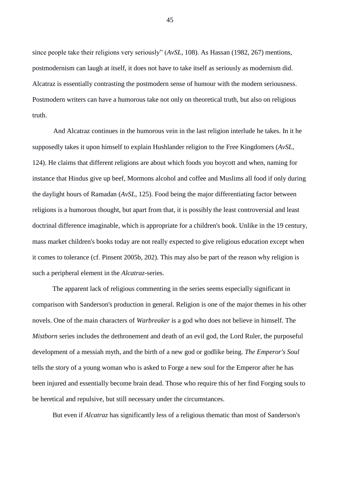since people take their religions very seriously" (*AvSL*, 108). As Hassan (1982, 267) mentions, postmodernism can laugh at itself, it does not have to take itself as seriously as modernism did. Alcatraz is essentially contrasting the postmodern sense of humour with the modern seriousness. Postmodern writers can have a humorous take not only on theoretical truth, but also on religious truth.

And Alcatraz continues in the humorous vein in the last religion interlude he takes. In it he supposedly takes it upon himself to explain Hushlander religion to the Free Kingdomers (*AvSL*, 124). He claims that different religions are about which foods you boycott and when, naming for instance that Hindus give up beef, Mormons alcohol and coffee and Muslims all food if only during the daylight hours of Ramadan (*AvSL*, 125). Food being the major differentiating factor between religions is a humorous thought, but apart from that, it is possibly the least controversial and least doctrinal difference imaginable, which is appropriate for a children's book. Unlike in the 19 century, mass market children's books today are not really expected to give religious education except when it comes to tolerance (cf. Pinsent 2005b, 202). This may also be part of the reason why religion is such a peripheral element in the *Alcatraz*-series.

The apparent lack of religious commenting in the series seems especially significant in comparison with Sanderson's production in general. Religion is one of the major themes in his other novels. One of the main characters of *Warbreaker* is a god who does not believe in himself. The *Mistborn* series includes the dethronement and death of an evil god, the Lord Ruler, the purposeful development of a messiah myth, and the birth of a new god or godlike being. *The Emperor's Soul* tells the story of a young woman who is asked to Forge a new soul for the Emperor after he has been injured and essentially become brain dead. Those who require this of her find Forging souls to be heretical and repulsive, but still necessary under the circumstances.

But even if *Alcatraz* has significantly less of a religious thematic than most of Sanderson's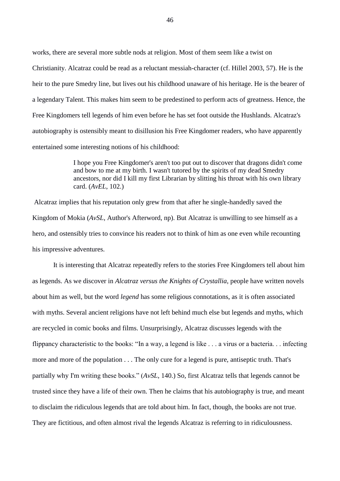works, there are several more subtle nods at religion. Most of them seem like a twist on Christianity. Alcatraz could be read as a reluctant messiah-character (cf. Hillel 2003, 57). He is the heir to the pure Smedry line, but lives out his childhood unaware of his heritage. He is the bearer of a legendary Talent. This makes him seem to be predestined to perform acts of greatness. Hence, the Free Kingdomers tell legends of him even before he has set foot outside the Hushlands. Alcatraz's autobiography is ostensibly meant to disillusion his Free Kingdomer readers, who have apparently entertained some interesting notions of his childhood:

> I hope you Free Kingdomer's aren't too put out to discover that dragons didn't come and bow to me at my birth. I wasn't tutored by the spirits of my dead Smedry ancestors, nor did I kill my first Librarian by slitting his throat with his own library card. (*AvEL*, 102.)

Alcatraz implies that his reputation only grew from that after he single-handedly saved the Kingdom of Mokia (*AvSL*, Author's Afterword, np). But Alcatraz is unwilling to see himself as a hero, and ostensibly tries to convince his readers not to think of him as one even while recounting his impressive adventures.

It is interesting that Alcatraz repeatedly refers to the stories Free Kingdomers tell about him as legends. As we discover in *Alcatraz versus the Knights of Crystallia*, people have written novels about him as well, but the word *legend* has some religious connotations, as it is often associated with myths. Several ancient religions have not left behind much else but legends and myths, which are recycled in comic books and films. Unsurprisingly, Alcatraz discusses legends with the flippancy characteristic to the books: "In a way, a legend is like . . . a virus or a bacteria. . . infecting more and more of the population . . . The only cure for a legend is pure, antiseptic truth. That's partially why I'm writing these books." (*AvSL*, 140.) So, first Alcatraz tells that legends cannot be trusted since they have a life of their own. Then he claims that his autobiography is true, and meant to disclaim the ridiculous legends that are told about him. In fact, though, the books are not true. They are fictitious, and often almost rival the legends Alcatraz is referring to in ridiculousness.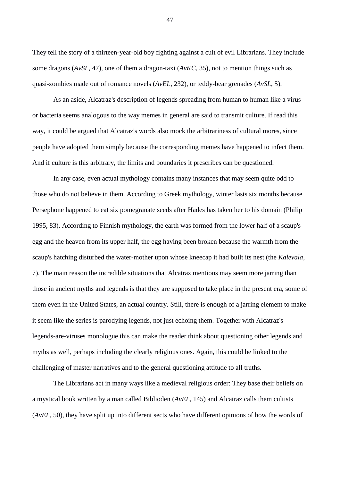They tell the story of a thirteen-year-old boy fighting against a cult of evil Librarians. They include some dragons (*AvSL*, 47), one of them a dragon-taxi (*AvKC*, 35), not to mention things such as quasi-zombies made out of romance novels (*AvEL*, 232), or teddy-bear grenades (*AvSL*, 5).

As an aside, Alcatraz's description of legends spreading from human to human like a virus or bacteria seems analogous to the way memes in general are said to transmit culture. If read this way, it could be argued that Alcatraz's words also mock the arbitrariness of cultural mores, since people have adopted them simply because the corresponding memes have happened to infect them. And if culture is this arbitrary, the limits and boundaries it prescribes can be questioned.

In any case, even actual mythology contains many instances that may seem quite odd to those who do not believe in them. According to Greek mythology, winter lasts six months because Persephone happened to eat six pomegranate seeds after Hades has taken her to his domain (Philip 1995, 83). According to Finnish mythology, the earth was formed from the lower half of a scaup's egg and the heaven from its upper half, the egg having been broken because the warmth from the scaup's hatching disturbed the water-mother upon whose kneecap it had built its nest (the *Kalevala*, 7). The main reason the incredible situations that Alcatraz mentions may seem more jarring than those in ancient myths and legends is that they are supposed to take place in the present era, some of them even in the United States, an actual country. Still, there is enough of a jarring element to make it seem like the series is parodying legends, not just echoing them. Together with Alcatraz's legends-are-viruses monologue this can make the reader think about questioning other legends and myths as well, perhaps including the clearly religious ones. Again, this could be linked to the challenging of master narratives and to the general questioning attitude to all truths.

The Librarians act in many ways like a medieval religious order: They base their beliefs on a mystical book written by a man called Biblioden (*AvEL*, 145) and Alcatraz calls them cultists (*AvEL*, 50), they have split up into different sects who have different opinions of how the words of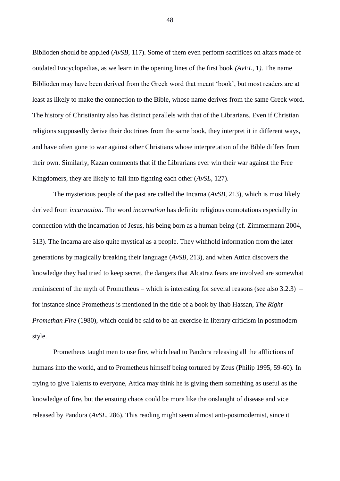Biblioden should be applied (*AvSB*, 117). Some of them even perform sacrifices on altars made of outdated Encyclopedias, as we learn in the opening lines of the first book *(AvEL*, 1*)*. The name Biblioden may have been derived from the Greek word that meant 'book', but most readers are at least as likely to make the connection to the Bible, whose name derives from the same Greek word. The history of Christianity also has distinct parallels with that of the Librarians. Even if Christian religions supposedly derive their doctrines from the same book, they interpret it in different ways, and have often gone to war against other Christians whose interpretation of the Bible differs from their own. Similarly, Kazan comments that if the Librarians ever win their war against the Free Kingdomers, they are likely to fall into fighting each other (*AvSL*, 127).

The mysterious people of the past are called the Incarna (*AvSB*, 213), which is most likely derived from *incarnation*. The word *incarnation* has definite religious connotations especially in connection with the incarnation of Jesus, his being born as a human being (cf. Zimmermann 2004, 513). The Incarna are also quite mystical as a people. They withhold information from the later generations by magically breaking their language (*AvSB*, 213), and when Attica discovers the knowledge they had tried to keep secret, the dangers that Alcatraz fears are involved are somewhat reminiscent of the myth of Prometheus – which is interesting for several reasons (see also 3.2.3) – for instance since Prometheus is mentioned in the title of a book by Ihab Hassan, *The Right Promethan Fire* (1980), which could be said to be an exercise in literary criticism in postmodern style.

Prometheus taught men to use fire, which lead to Pandora releasing all the afflictions of humans into the world, and to Prometheus himself being tortured by Zeus (Philip 1995, 59-60). In trying to give Talents to everyone, Attica may think he is giving them something as useful as the knowledge of fire, but the ensuing chaos could be more like the onslaught of disease and vice released by Pandora (*AvSL*, 286). This reading might seem almost anti-postmodernist, since it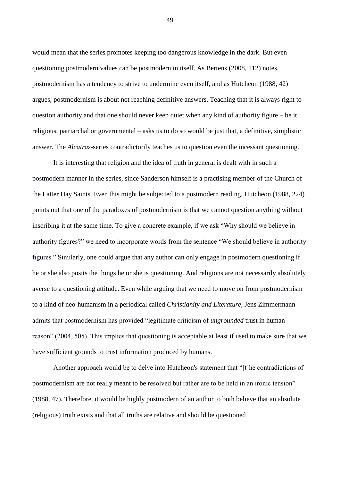would mean that the series promotes keeping too dangerous knowledge in the dark. But even questioning postmodern values can be postmodern in itself. As Bertens (2008, 112) notes, postmodernism has a tendency to strive to undermine even itself, and as Hutcheon (1988, 42) argues, postmodernism is about not reaching definitive answers. Teaching that it is always right to question authority and that one should never keep quiet when any kind of authority figure – be it religious, patriarchal or governmental – asks us to do so would be just that, a definitive, simplistic answer. The *Alcatraz*-series contradictorily teaches us to question even the incessant questioning.

It is interesting that religion and the idea of truth in general is dealt with in such a postmodern manner in the series, since Sanderson himself is a practising member of the Church of the Latter Day Saints. Even this might be subjected to a postmodern reading. Hutcheon (1988, 224) points out that one of the paradoxes of postmodernism is that we cannot question anything without inscribing it at the same time. To give a concrete example, if we ask "Why should we believe in authority figures?" we need to incorporate words from the sentence "We should believe in authority figures." Similarly, one could argue that any author can only engage in postmodern questioning if he or she also posits the things he or she is questioning. And religions are not necessarily absolutely averse to a questioning attitude. Even while arguing that we need to move on from postmodernism to a kind of neo-humanism in a periodical called *Christianity and Literature*, Jens Zimmermann admits that postmodernism has provided "legitimate criticism of *ungrounded* trust in human reason" (2004, 505). This implies that questioning is acceptable at least if used to make sure that we have sufficient grounds to trust information produced by humans.

Another approach would be to delve into Hutcheon's statement that "[t]he contradictions of postmodernism are not really meant to be resolved but rather are to be held in an ironic tension" (1988, 47). Therefore, it would be highly postmodern of an author to both believe that an absolute (religious) truth exists and that all truths are relative and should be questioned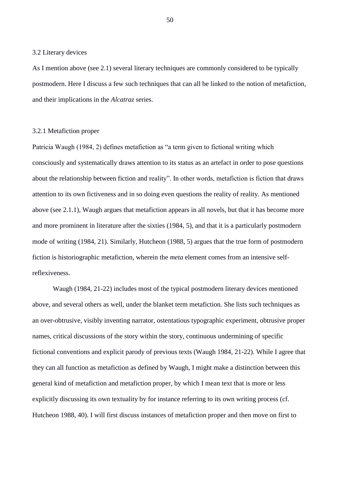#### 3.2 Literary devices

As I mention above (see 2.1) several literary techniques are commonly considered to be typically postmodern. Here I discuss a few such techniques that can all be linked to the notion of metafiction, and their implications in the *Alcatraz* series.

# 3.2.1 Metafiction proper

Patricia Waugh (1984, 2) defines metafiction as "a term given to fictional writing which consciously and systematically draws attention to its status as an artefact in order to pose questions about the relationship between fiction and reality". In other words, metafiction is fiction that draws attention to its own fictiveness and in so doing even questions the reality of reality. As mentioned above (see 2.1.1), Waugh argues that metafiction appears in all novels, but that it has become more and more prominent in literature after the sixties (1984, 5), and that it is a particularly postmodern mode of writing (1984, 21). Similarly, Hutcheon (1988, 5) argues that the true form of postmodern fiction is historiographic metafiction, wherein the *meta* element comes from an intensive selfreflexiveness.

Waugh (1984, 21-22) includes most of the typical postmodern literary devices mentioned above, and several others as well, under the blanket term metafiction. She lists such techniques as an over-obtrusive, visibly inventing narrator, ostentatious typographic experiment, obtrusive proper names, critical discussions of the story within the story, continuous undermining of specific fictional conventions and explicit parody of previous texts (Waugh 1984, 21-22). While I agree that they can all function as metafiction as defined by Waugh, I might make a distinction between this general kind of metafiction and metafiction proper, by which I mean text that is more or less explicitly discussing its own textuality by for instance referring to its own writing process (cf. Hutcheon 1988, 40). I will first discuss instances of metafiction proper and then move on first to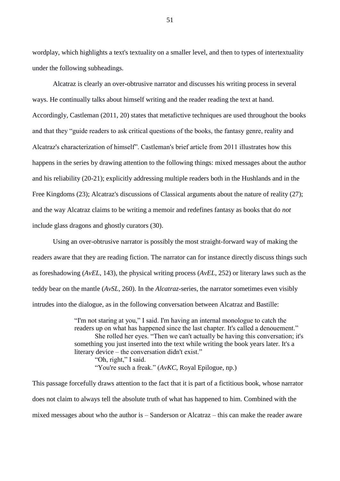wordplay, which highlights a text's textuality on a smaller level, and then to types of intertextuality under the following subheadings.

Alcatraz is clearly an over-obtrusive narrator and discusses his writing process in several ways. He continually talks about himself writing and the reader reading the text at hand. Accordingly, Castleman (2011, 20) states that metafictive techniques are used throughout the books and that they "guide readers to ask critical questions of the books, the fantasy genre, reality and Alcatraz's characterization of himself". Castleman's brief article from 2011 illustrates how this happens in the series by drawing attention to the following things: mixed messages about the author and his reliability (20-21); explicitly addressing multiple readers both in the Hushlands and in the Free Kingdoms (23); Alcatraz's discussions of Classical arguments about the nature of reality (27); and the way Alcatraz claims to be writing a memoir and redefines fantasy as books that do *not* include glass dragons and ghostly curators (30).

Using an over-obtrusive narrator is possibly the most straight-forward way of making the readers aware that they are reading fiction. The narrator can for instance directly discuss things such as foreshadowing (*AvEL*, 143), the physical writing process (*AvEL*, 252) or literary laws such as the teddy bear on the mantle (*AvSL*, 260). In the *Alcatraz*-series, the narrator sometimes even visibly intrudes into the dialogue, as in the following conversation between Alcatraz and Bastille:

> "I'm not staring at you," I said. I'm having an internal monologue to catch the readers up on what has happened since the last chapter. It's called a denouement." She rolled her eyes. "Then we can't actually be having this conversation; it's something you just inserted into the text while writing the book years later. It's a literary device – the conversation didn't exist." "Oh, right," I said. "You're such a freak." (*AvKC*, Royal Epilogue, np.)

This passage forcefully draws attention to the fact that it is part of a fictitious book, whose narrator does not claim to always tell the absolute truth of what has happened to him. Combined with the mixed messages about who the author is – Sanderson or Alcatraz – this can make the reader aware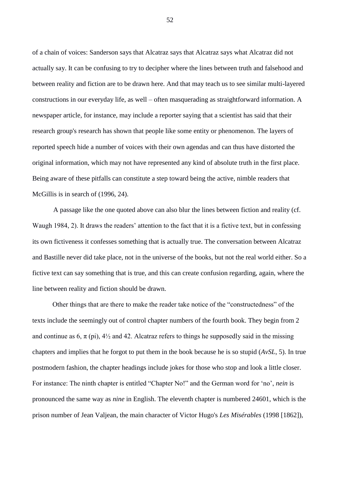of a chain of voices: Sanderson says that Alcatraz says that Alcatraz says what Alcatraz did not actually say. It can be confusing to try to decipher where the lines between truth and falsehood and between reality and fiction are to be drawn here. And that may teach us to see similar multi-layered constructions in our everyday life, as well – often masquerading as straightforward information. A newspaper article, for instance, may include a reporter saying that a scientist has said that their research group's research has shown that people like some entity or phenomenon. The layers of reported speech hide a number of voices with their own agendas and can thus have distorted the original information, which may not have represented any kind of absolute truth in the first place. Being aware of these pitfalls can constitute a step toward being the active, nimble readers that McGillis is in search of (1996, 24).

A passage like the one quoted above can also blur the lines between fiction and reality (cf. Waugh 1984, 2). It draws the readers' attention to the fact that it is a fictive text, but in confessing its own fictiveness it confesses something that is actually true. The conversation between Alcatraz and Bastille never did take place, not in the universe of the books, but not the real world either. So a fictive text can say something that is true, and this can create confusion regarding, again, where the line between reality and fiction should be drawn.

Other things that are there to make the reader take notice of the "constructedness" of the texts include the seemingly out of control chapter numbers of the fourth book. They begin from 2 and continue as 6,  $\pi$  (pi), 4<sup>1</sup>/<sub>2</sub> and 42. Alcatraz refers to things he supposedly said in the missing chapters and implies that he forgot to put them in the book because he is so stupid (*AvSL*, 5). In true postmodern fashion, the chapter headings include jokes for those who stop and look a little closer. For instance: The ninth chapter is entitled "Chapter No!" and the German word for 'no', *nein* is pronounced the same way as *nine* in English. The eleventh chapter is numbered 24601, which is the prison number of Jean Valjean, the main character of Victor Hugo's *Les Misérables* (1998 [1862]),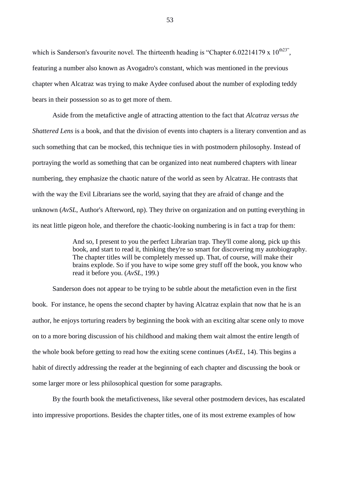which is Sanderson's favourite novel. The thirteenth heading is "Chapter 6.02214179 x  $10^{\text{th23}}$ ", featuring a number also known as Avogadro's constant, which was mentioned in the previous chapter when Alcatraz was trying to make Aydee confused about the number of exploding teddy bears in their possession so as to get more of them.

Aside from the metafictive angle of attracting attention to the fact that *Alcatraz versus the Shattered Lens* is a book, and that the division of events into chapters is a literary convention and as such something that can be mocked, this technique ties in with postmodern philosophy. Instead of portraying the world as something that can be organized into neat numbered chapters with linear numbering, they emphasize the chaotic nature of the world as seen by Alcatraz. He contrasts that with the way the Evil Librarians see the world, saying that they are afraid of change and the unknown (*AvSL*, Author's Afterword, np). They thrive on organization and on putting everything in its neat little pigeon hole, and therefore the chaotic-looking numbering is in fact a trap for them:

> And so, I present to you the perfect Librarian trap. They'll come along, pick up this book, and start to read it, thinking they're so smart for discovering my autobiography. The chapter titles will be completely messed up. That, of course, will make their brains explode. So if you have to wipe some grey stuff off the book, you know who read it before you. (*AvSL*, 199.)

Sanderson does not appear to be trying to be subtle about the metafiction even in the first book. For instance, he opens the second chapter by having Alcatraz explain that now that he is an author, he enjoys torturing readers by beginning the book with an exciting altar scene only to move on to a more boring discussion of his childhood and making them wait almost the entire length of the whole book before getting to read how the exiting scene continues (*AvEL*, 14). This begins a habit of directly addressing the reader at the beginning of each chapter and discussing the book or some larger more or less philosophical question for some paragraphs.

By the fourth book the metafictiveness, like several other postmodern devices, has escalated into impressive proportions. Besides the chapter titles, one of its most extreme examples of how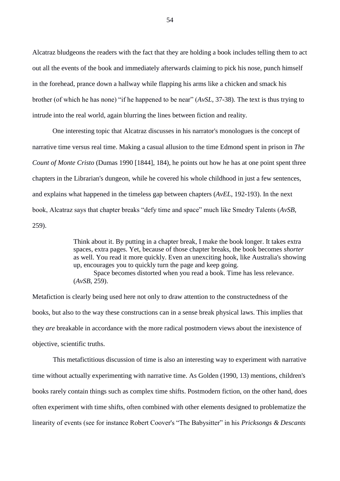Alcatraz bludgeons the readers with the fact that they are holding a book includes telling them to act out all the events of the book and immediately afterwards claiming to pick his nose, punch himself in the forehead, prance down a hallway while flapping his arms like a chicken and smack his brother (of which he has none) "if he happened to be near" (*AvSL*, 37-38). The text is thus trying to intrude into the real world, again blurring the lines between fiction and reality.

One interesting topic that Alcatraz discusses in his narrator's monologues is the concept of narrative time versus real time. Making a casual allusion to the time Edmond spent in prison in *The Count of Monte Cristo* (Dumas 1990 [1844], 184), he points out how he has at one point spent three chapters in the Librarian's dungeon, while he covered his whole childhood in just a few sentences, and explains what happened in the timeless gap between chapters (*AvEL*, 192-193). In the next book, Alcatraz says that chapter breaks "defy time and space" much like Smedry Talents (*AvSB*, 259).

> Think about it. By putting in a chapter break, I make the book longer. It takes extra spaces, extra pages. Yet, because of those chapter breaks, the book becomes *shorter* as well. You read it more quickly. Even an unexciting hook, like Australia's showing up, encourages you to quickly turn the page and keep going.

Space becomes distorted when you read a book. Time has less relevance. (*AvSB*, 259).

Metafiction is clearly being used here not only to draw attention to the constructedness of the books, but also to the way these constructions can in a sense break physical laws. This implies that they *are* breakable in accordance with the more radical postmodern views about the inexistence of objective, scientific truths.

This metafictitious discussion of time is also an interesting way to experiment with narrative time without actually experimenting with narrative time. As Golden (1990, 13) mentions, children's books rarely contain things such as complex time shifts. Postmodern fiction, on the other hand, does often experiment with time shifts, often combined with other elements designed to problematize the linearity of events (see for instance Robert Coover's "The Babysitter" in his *Pricksongs & Descants*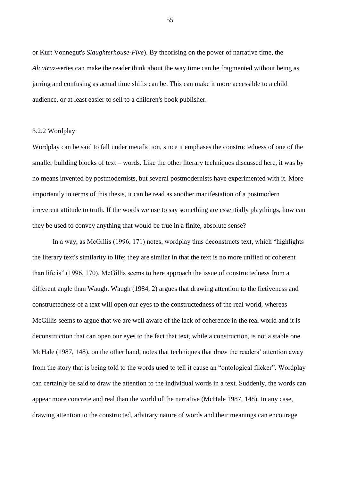or Kurt Vonnegut's *Slaughterhouse-Five*). By theorising on the power of narrative time, the *Alcatraz-*series can make the reader think about the way time can be fragmented without being as jarring and confusing as actual time shifts can be. This can make it more accessible to a child audience, or at least easier to sell to a children's book publisher.

#### 3.2.2 Wordplay

Wordplay can be said to fall under metafiction, since it emphases the constructedness of one of the smaller building blocks of text – words. Like the other literary techniques discussed here, it was by no means invented by postmodernists, but several postmodernists have experimented with it. More importantly in terms of this thesis, it can be read as another manifestation of a postmodern irreverent attitude to truth. If the words we use to say something are essentially playthings, how can they be used to convey anything that would be true in a finite, absolute sense?

In a way, as McGillis (1996, 171) notes, wordplay thus deconstructs text, which "highlights the literary text's similarity to life; they are similar in that the text is no more unified or coherent than life is" (1996, 170). McGillis seems to here approach the issue of constructedness from a different angle than Waugh. Waugh (1984, 2) argues that drawing attention to the fictiveness and constructedness of a text will open our eyes to the constructedness of the real world, whereas McGillis seems to argue that we are well aware of the lack of coherence in the real world and it is deconstruction that can open our eyes to the fact that text, while a construction, is not a stable one. McHale (1987, 148), on the other hand, notes that techniques that draw the readers' attention away from the story that is being told to the words used to tell it cause an "ontological flicker". Wordplay can certainly be said to draw the attention to the individual words in a text. Suddenly, the words can appear more concrete and real than the world of the narrative (McHale 1987, 148). In any case, drawing attention to the constructed, arbitrary nature of words and their meanings can encourage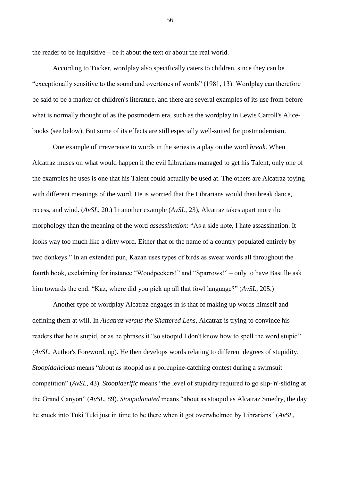the reader to be inquisitive – be it about the text or about the real world.

According to Tucker, wordplay also specifically caters to children, since they can be "exceptionally sensitive to the sound and overtones of words" (1981, 13). Wordplay can therefore be said to be a marker of children's literature, and there are several examples of its use from before what is normally thought of as the postmodern era, such as the wordplay in Lewis Carroll's Alicebooks (see below). But some of its effects are still especially well-suited for postmodernism.

One example of irreverence to words in the series is a play on the word *break*. When Alcatraz muses on what would happen if the evil Librarians managed to get his Talent, only one of the examples he uses is one that his Talent could actually be used at. The others are Alcatraz toying with different meanings of the word. He is worried that the Librarians would then break dance, recess, and wind. (*AvSL*, 20.) In another example (*AvSL*, 23), Alcatraz takes apart more the morphology than the meaning of the word *assassination*: "As a side note, I hate assassination. It looks way too much like a dirty word. Either that or the name of a country populated entirely by two donkeys." In an extended pun, Kazan uses types of birds as swear words all throughout the fourth book, exclaiming for instance "Woodpeckers!" and "Sparrows!" – only to have Bastille ask him towards the end: "Kaz, where did you pick up all that fowl language?" (*AvSL*, 205.)

Another type of wordplay Alcatraz engages in is that of making up words himself and defining them at will. In *Alcatraz versus the Shattered Lens*, Alcatraz is trying to convince his readers that he is stupid, or as he phrases it "so stoopid I don't know how to spell the word stupid" (*AvSL*, Author's Foreword, np). He then develops words relating to different degrees of stupidity. *Stoopidalicious* means "about as stoopid as a porcupine-catching contest during a swimsuit competition" (*AvSL*, 43). *Stoopiderific* means "the level of stupidity required to go slip-'n'-sliding at the Grand Canyon" (*AvSL*, 89). *Stoopidanated* means "about as stoopid as Alcatraz Smedry, the day he snuck into Tuki Tuki just in time to be there when it got overwhelmed by Librarians" (*AvSL*,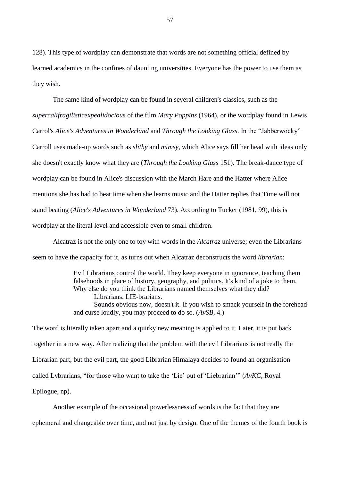128). This type of wordplay can demonstrate that words are not something official defined by learned academics in the confines of daunting universities. Everyone has the power to use them as they wish.

The same kind of wordplay can be found in several children's classics, such as the *supercalifragilisticexpealidocious* of the film *Mary Poppins* (1964), or the wordplay found in Lewis Carrol's *Alice's Adventures in Wonderland* and *Through the Looking Glass*. In the "Jabberwocky" Carroll uses made-up words such as *slithy* and *mimsy*, which Alice says fill her head with ideas only she doesn't exactly know what they are (*Through the Looking Glass* 151). The break-dance type of wordplay can be found in Alice's discussion with the March Hare and the Hatter where Alice mentions she has had to beat time when she learns music and the Hatter replies that Time will not stand beating (*Alice's Adventures in Wonderland* 73). According to Tucker (1981, 99), this is wordplay at the literal level and accessible even to small children.

Alcatraz is not the only one to toy with words in the *Alcatraz* universe; even the Librarians seem to have the capacity for it, as turns out when Alcatraz deconstructs the word *librarian*:

> Evil Librarians control the world. They keep everyone in ignorance, teaching them falsehoods in place of history, geography, and politics. It's kind of a joke to them. Why else do you think the Librarians named themselves what they did? Librarians. LIE-brarians. Sounds obvious now, doesn't it. If you wish to smack yourself in the forehead and curse loudly, you may proceed to do so. (*AvSB*, 4.)

The word is literally taken apart and a quirky new meaning is applied to it. Later, it is put back together in a new way. After realizing that the problem with the evil Librarians is not really the Librarian part, but the evil part, the good Librarian Himalaya decides to found an organisation called Lybrarians, "for those who want to take the 'Lie' out of 'Liebrarian'" (*AvKC*, Royal Epilogue, np).

Another example of the occasional powerlessness of words is the fact that they are ephemeral and changeable over time, and not just by design. One of the themes of the fourth book is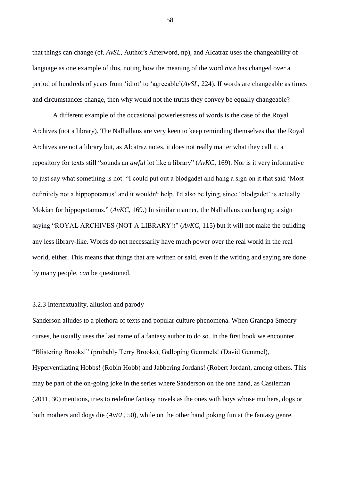that things can change (cf. *AvSL*, Author's Afterword, np), and Alcatraz uses the changeability of language as one example of this, noting how the meaning of the word *nice* has changed over a period of hundreds of years from 'idiot' to 'agreeable'(*AvSL*, 224). If words are changeable as times and circumstances change, then why would not the truths they convey be equally changeable?

A different example of the occasional powerlessness of words is the case of the Royal Archives (not a library). The Nalhallans are very keen to keep reminding themselves that the Royal Archives are not a library but, as Alcatraz notes, it does not really matter what they call it, a repository for texts still "sounds an *awful* lot like a library" (*AvKC*, 169). Nor is it very informative to just say what something is not: "I could put out a blodgadet and hang a sign on it that said 'Most definitely not a hippopotamus' and it wouldn't help. I'd also be lying, since 'blodgadet' is actually Mokian for hippopotamus." (*AvKC*, 169.) In similar manner, the Nalhallans can hang up a sign saying "ROYAL ARCHIVES (NOT A LIBRARY!)" (*AvKC*, 115) but it will not make the building any less library-like. Words do not necessarily have much power over the real world in the real world, either. This means that things that are written or said, even if the writing and saying are done by many people, *can* be questioned.

# 3.2.3 Intertextuality, allusion and parody

Sanderson alludes to a plethora of texts and popular culture phenomena. When Grandpa Smedry curses, he usually uses the last name of a fantasy author to do so. In the first book we encounter "Blistering Brooks!" (probably Terry Brooks), Galloping Gemmels! (David Gemmel), Hyperventilating Hobbs! (Robin Hobb) and Jabbering Jordans! (Robert Jordan), among others. This may be part of the on-going joke in the series where Sanderson on the one hand, as Castleman (2011, 30) mentions, tries to redefine fantasy novels as the ones with boys whose mothers, dogs or both mothers and dogs die (*AvEL*, 50), while on the other hand poking fun at the fantasy genre.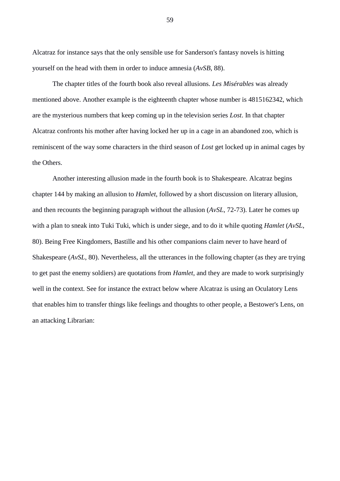Alcatraz for instance says that the only sensible use for Sanderson's fantasy novels is hitting yourself on the head with them in order to induce amnesia (*AvSB*, 88).

The chapter titles of the fourth book also reveal allusions. *Les Misérables* was already mentioned above. Another example is the eighteenth chapter whose number is 4815162342, which are the mysterious numbers that keep coming up in the television series *Lost*. In that chapter Alcatraz confronts his mother after having locked her up in a cage in an abandoned zoo, which is reminiscent of the way some characters in the third season of *Lost* get locked up in animal cages by the Others.

Another interesting allusion made in the fourth book is to Shakespeare. Alcatraz begins chapter 144 by making an allusion to *Hamlet*, followed by a short discussion on literary allusion, and then recounts the beginning paragraph without the allusion (*AvSL*, 72-73). Later he comes up with a plan to sneak into Tuki Tuki, which is under siege, and to do it while quoting *Hamlet* (*AvSL*, 80). Being Free Kingdomers, Bastille and his other companions claim never to have heard of Shakespeare (*AvSL*, 80). Nevertheless, all the utterances in the following chapter (as they are trying to get past the enemy soldiers) are quotations from *Hamlet*, and they are made to work surprisingly well in the context. See for instance the extract below where Alcatraz is using an Oculatory Lens that enables him to transfer things like feelings and thoughts to other people, a Bestower's Lens, on an attacking Librarian: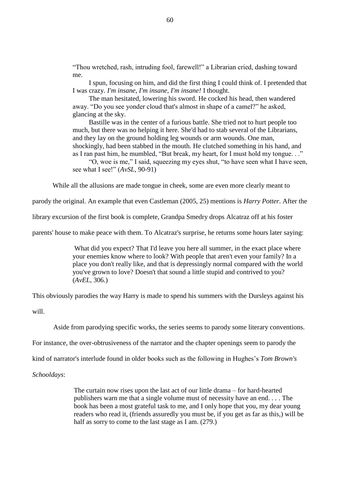"Thou wretched, rash, intruding fool, farewell!" a Librarian cried, dashing toward me.

I spun, focusing on him, and did the first thing I could think of. I pretended that I was crazy. *I'm insane, I'm insane, I'm insane!* I thought.

The man hesitated, lowering his sword. He cocked his head, then wandered away. "Do you see yonder cloud that's almost in shape of a camel?" he asked, glancing at the sky.

Bastille was in the center of a furious battle. She tried not to hurt people too much, but there was no helping it here. She'd had to stab several of the Librarians, and they lay on the ground holding leg wounds or arm wounds. One man, shockingly, had been stabbed in the mouth. He clutched something in his hand, and as I ran past him, he mumbled, "But break, my heart, for I must hold my tongue. . ."

"O, woe is me," I said, squeezing my eyes shut, "to have seen what I have seen, see what I see!" (*AvSL*, 90-91)

While all the allusions are made tongue in cheek, some are even more clearly meant to

parody the original. An example that even Castleman (2005, 25) mentions is *Harry Potter*. After the

library excursion of the first book is complete, Grandpa Smedry drops Alcatraz off at his foster

parents' house to make peace with them. To Alcatraz's surprise, he returns some hours later saying:

What did you expect? That I'd leave you here all summer, in the exact place where your enemies know where to look? With people that aren't even your family? In a place you don't really like, and that is depressingly normal compared with the world you've grown to love? Doesn't that sound a little stupid and contrived to you? (*AvEL*, 306.)

This obviously parodies the way Harry is made to spend his summers with the Dursleys against his will.

Aside from parodying specific works, the series seems to parody some literary conventions.

For instance, the over-obtrusiveness of the narrator and the chapter openings seem to parody the

kind of narrator's interlude found in older books such as the following in Hughes's *Tom Brown's* 

*Schooldays*:

The curtain now rises upon the last act of our little drama – for hard-hearted publishers warn me that a single volume must of necessity have an end. . . . The book has been a most grateful task to me, and I only hope that you, my dear young readers who read it, (friends assuredly you must be, if you get as far as this,) will be half as sorry to come to the last stage as I am. (279.)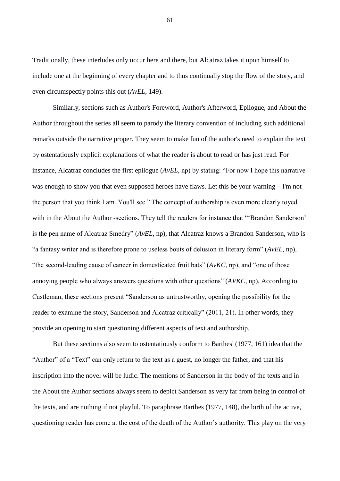Traditionally, these interludes only occur here and there, but Alcatraz takes it upon himself to include one at the beginning of every chapter and to thus continually stop the flow of the story, and even circumspectly points this out (*AvEL*, 149).

Similarly, sections such as Author's Foreword, Author's Afterword, Epilogue, and About the Author throughout the series all seem to parody the literary convention of including such additional remarks outside the narrative proper. They seem to make fun of the author's need to explain the text by ostentatiously explicit explanations of what the reader is about to read or has just read. For instance, Alcatraz concludes the first epilogue (*AvEL*, np) by stating: "For now I hope this narrative was enough to show you that even supposed heroes have flaws. Let this be your warning – I'm not the person that you think I am. You'll see." The concept of authorship is even more clearly toyed with in the About the Author -sections. They tell the readers for instance that "'Brandon Sanderson' is the pen name of Alcatraz Smedry" (*AvEL*, np), that Alcatraz knows a Brandon Sanderson, who is "a fantasy writer and is therefore prone to useless bouts of delusion in literary form" (*AvEL*, np), "the second-leading cause of cancer in domesticated fruit bats" (*AvKC*, np), and "one of those annoying people who always answers questions with other questions" (*AVKC*, np). According to Castleman, these sections present "Sanderson as untrustworthy, opening the possibility for the reader to examine the story, Sanderson and Alcatraz critically" (2011, 21). In other words, they provide an opening to start questioning different aspects of text and authorship.

But these sections also seem to ostentatiously conform to Barthes' (1977, 161) idea that the "Author" of a "Text" can only return to the text as a guest, no longer the father, and that his inscription into the novel will be ludic. The mentions of Sanderson in the body of the texts and in the About the Author sections always seem to depict Sanderson as very far from being in control of the texts, and are nothing if not playful. To paraphrase Barthes (1977, 148), the birth of the active, questioning reader has come at the cost of the death of the Author's authority. This play on the very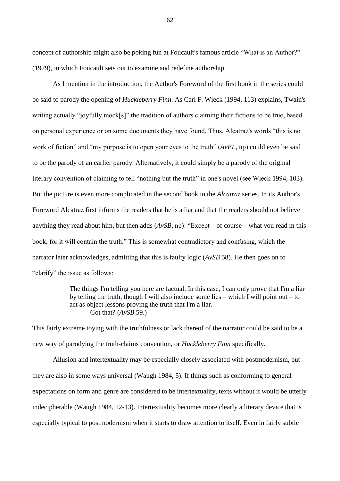concept of authorship might also be poking fun at Foucault's famous article "What is an Author?" (1979), in which Foucault sets out to examine and redefine authorship.

As I mention in the introduction, the Author's Foreword of the first book in the series could be said to parody the opening of *Huckleberry Finn*. As Carl F. Wieck (1994, 113) explains, Twain's writing actually "joyfully mock[s]" the tradition of authors claiming their fictions to be true, based on personal experience or on some documents they have found. Thus, Alcatraz's words "this is no work of fiction" and "my purpose is to open your eyes to the truth" (*AvEL*, np) could even be said to be the parody of an earlier parody. Alternatively, it could simply be a parody of the original literary convention of claiming to tell "nothing but the truth" in one's novel (see Wieck 1994, 103). But the picture is even more complicated in the second book in the *Alcatraz* series. In its Author's Foreword Alcatraz first informs the readers that he is a liar and that the readers should not believe anything they read about him, but then adds (*AvSB*, np): "Except – of course – what you read in this book, for it will contain the truth." This is somewhat contradictory and confusing, which the narrator later acknowledges, admitting that this is faulty logic (*AvSB* 58). He then goes on to "clarify" the issue as follows:

> The things I'm telling you here are factual. In this case, I can only prove that I'm a liar by telling the truth, though I will also include some lies – which I will point out – to act as object lessons proving the truth that I'm a liar. Got that? (*AvSB* 59.)

This fairly extreme toying with the truthfulness or lack thereof of the narrator could be said to be a new way of parodying the truth-claims convention, or *Huckleberry Finn* specifically.

Allusion and intertextuality may be especially closely associated with postmodernism, but they are also in some ways universal (Waugh 1984, 5). If things such as conforming to general expectations on form and genre are considered to be intertextuality, texts without it would be utterly indecipherable (Waugh 1984, 12-13). Intertextuality becomes more clearly a literary device that is especially typical to postmodernism when it starts to draw attention to itself. Even in fairly subtle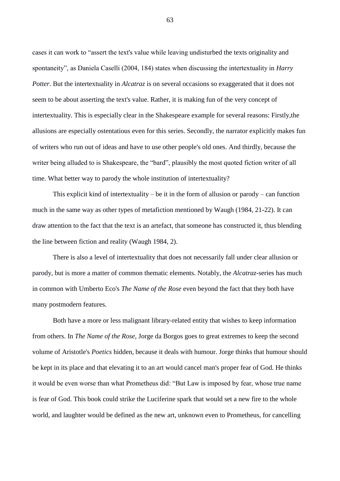cases it can work to "assert the text's value while leaving undisturbed the texts originality and spontaneity", as Daniela Caselli (2004, 184) states when discussing the intertextuality in *Harry Potter*. But the intertextuality in *Alcatraz* is on several occasions so exaggerated that it does not seem to be about asserting the text's value. Rather, it is making fun of the very concept of intertextuality. This is especially clear in the Shakespeare example for several reasons: Firstly,the allusions are especially ostentatious even for this series. Secondly, the narrator explicitly makes fun of writers who run out of ideas and have to use other people's old ones. And thirdly, because the writer being alluded to is Shakespeare, the "bard", plausibly the most quoted fiction writer of all time. What better way to parody the whole institution of intertextuality?

This explicit kind of intertextuality – be it in the form of allusion or parody – can function much in the same way as other types of metafiction mentioned by Waugh (1984, 21-22). It can draw attention to the fact that the text is an artefact, that someone has constructed it, thus blending the line between fiction and reality (Waugh 1984, 2).

There is also a level of intertextuality that does not necessarily fall under clear allusion or parody, but is more a matter of common thematic elements. Notably, the *Alcatraz*-series has much in common with Umberto Eco's *The Name of the Rose* even beyond the fact that they both have many postmodern features.

Both have a more or less malignant library-related entity that wishes to keep information from others. In *The Name of the Rose*, Jorge da Borgos goes to great extremes to keep the second volume of Aristotle's *Poetics* hidden, because it deals with humour. Jorge thinks that humour should be kept in its place and that elevating it to an art would cancel man's proper fear of God. He thinks it would be even worse than what Prometheus did: "But Law is imposed by fear, whose true name is fear of God. This book could strike the Luciferine spark that would set a new fire to the whole world, and laughter would be defined as the new art, unknown even to Prometheus, for cancelling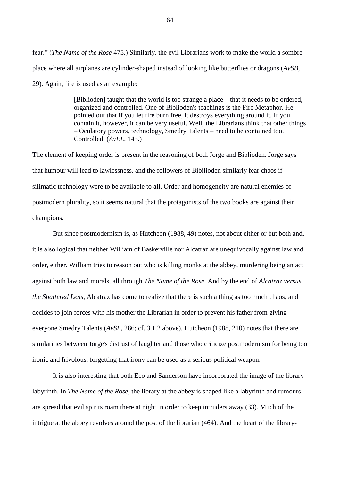fear." (*The Name of the Rose* 475.) Similarly, the evil Librarians work to make the world a sombre place where all airplanes are cylinder-shaped instead of looking like butterflies or dragons (*AvSB*, 29). Again, fire is used as an example:

> [Biblioden] taught that the world is too strange a place – that it needs to be ordered, organized and controlled. One of Biblioden's teachings is the Fire Metaphor. He pointed out that if you let fire burn free, it destroys everything around it. If you contain it, however, it can be very useful. Well, the Librarians think that other things – Oculatory powers, technology, Smedry Talents – need to be contained too. Controlled. (*AvEL*, 145.)

The element of keeping order is present in the reasoning of both Jorge and Biblioden. Jorge says that humour will lead to lawlessness, and the followers of Bibilioden similarly fear chaos if silimatic technology were to be available to all. Order and homogeneity are natural enemies of postmodern plurality, so it seems natural that the protagonists of the two books are against their champions.

But since postmodernism is, as Hutcheon (1988, 49) notes, not about either or but both and, it is also logical that neither William of Baskerville nor Alcatraz are unequivocally against law and order, either. William tries to reason out who is killing monks at the abbey, murdering being an act against both law and morals, all through *The Name of the Rose*. And by the end of *Alcatraz versus the Shattered Lens*, Alcatraz has come to realize that there is such a thing as too much chaos, and decides to join forces with his mother the Librarian in order to prevent his father from giving everyone Smedry Talents (*AvSL*, 286; cf. 3.1.2 above). Hutcheon (1988, 210) notes that there are similarities between Jorge's distrust of laughter and those who criticize postmodernism for being too ironic and frivolous, forgetting that irony can be used as a serious political weapon.

It is also interesting that both Eco and Sanderson have incorporated the image of the librarylabyrinth. In *The Name of the Rose*, the library at the abbey is shaped like a labyrinth and rumours are spread that evil spirits roam there at night in order to keep intruders away (33). Much of the intrigue at the abbey revolves around the post of the librarian (464). And the heart of the library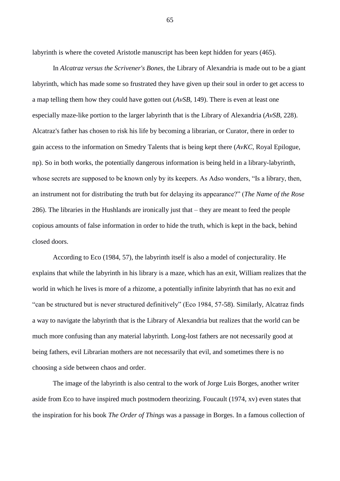labyrinth is where the coveted Aristotle manuscript has been kept hidden for years (465).

In *Alcatraz versus the Scrivener's Bones*, the Library of Alexandria is made out to be a giant labyrinth, which has made some so frustrated they have given up their soul in order to get access to a map telling them how they could have gotten out (*AvSB*, 149). There is even at least one especially maze-like portion to the larger labyrinth that is the Library of Alexandria (*AvSB*, 228). Alcatraz's father has chosen to risk his life by becoming a librarian, or Curator, there in order to gain access to the information on Smedry Talents that is being kept there (*AvKC*, Royal Epilogue, np). So in both works, the potentially dangerous information is being held in a library-labyrinth, whose secrets are supposed to be known only by its keepers. As Adso wonders, "Is a library, then, an instrument not for distributing the truth but for delaying its appearance?" (*The Name of the Rose* 286). The libraries in the Hushlands are ironically just that – they are meant to feed the people copious amounts of false information in order to hide the truth, which is kept in the back, behind closed doors.

According to Eco (1984, 57), the labyrinth itself is also a model of conjecturality. He explains that while the labyrinth in his library is a maze, which has an exit, William realizes that the world in which he lives is more of a rhizome, a potentially infinite labyrinth that has no exit and "can be structured but is never structured definitively" (Eco 1984, 57-58). Similarly, Alcatraz finds a way to navigate the labyrinth that is the Library of Alexandria but realizes that the world can be much more confusing than any material labyrinth. Long-lost fathers are not necessarily good at being fathers, evil Librarian mothers are not necessarily that evil, and sometimes there is no choosing a side between chaos and order.

The image of the labyrinth is also central to the work of Jorge Luis Borges, another writer aside from Eco to have inspired much postmodern theorizing. Foucault (1974, xv) even states that the inspiration for his book *The Order of Things* was a passage in Borges. In a famous collection of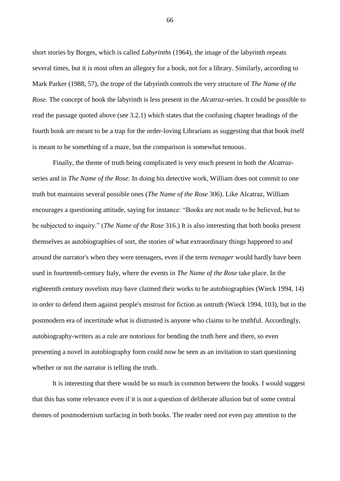short stories by Borges, which is called *Labyrinths* (1964), the image of the labyrinth repeats several times, but it is most often an allegory for a book, not for a library. Similarly, according to Mark Parker (1988, 57), the trope of the labyrinth controls the very structure of *The Name of the Rose*. The concept of book the labyrinth is less present in the *Alcatraz*-series. It could be possible to read the passage quoted above (see 3.2.1) which states that the confusing chapter headings of the fourth book are meant to be a trap for the order-loving Librarians as suggesting that that book itself is meant to be something of a maze, but the comparison is somewhat tenuous.

Finally, the theme of truth being complicated is very much present in both the *Alcatraz*series and in *The Name of the Rose*. In doing his detective work, William does not commit to one truth but maintains several possible ones (*The Name of the Rose* 306). Like Alcatraz, William encourages a questioning attitude, saying for instance: "Books are not made to be believed, but to be subjected to inquiry." (*The Name of the Rose* 316.) It is also interesting that both books present themselves as autobiographies of sort, the stories of what extraordinary things happened to and around the narrator's when they were teenagers, even if the term *teenager* would hardly have been used in fourteenth-century Italy, where the events in *The Name of the Rose* take place. In the eighteenth century novelists may have claimed their works to be autobiographies (Wieck 1994, 14) in order to defend them against people's mistrust for fiction as untruth (Wieck 1994, 103), but in the postmodern era of incertitude what is distrusted is anyone who claims to be truthful. Accordingly, autobiography-writers as a rule are notorious for bending the truth here and there, so even presenting a novel in autobiography form could now be seen as an invitation to start questioning whether or not the narrator is telling the truth.

It is interesting that there would be so much in common between the books. I would suggest that this has some relevance even if it is not a question of deliberate allusion but of some central themes of postmodernism surfacing in both books. The reader need not even pay attention to the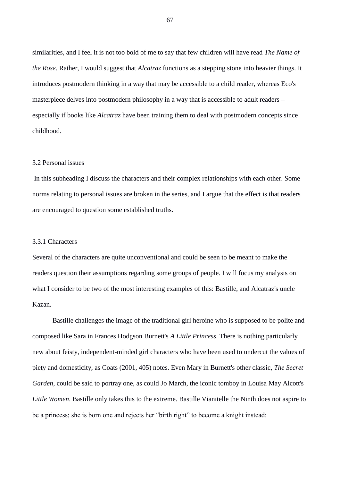similarities, and I feel it is not too bold of me to say that few children will have read *The Name of the Rose*. Rather, I would suggest that *Alcatraz* functions as a stepping stone into heavier things. It introduces postmodern thinking in a way that may be accessible to a child reader, whereas Eco's masterpiece delves into postmodern philosophy in a way that is accessible to adult readers – especially if books like *Alcatraz* have been training them to deal with postmodern concepts since childhood.

#### 3.2 Personal issues

In this subheading I discuss the characters and their complex relationships with each other. Some norms relating to personal issues are broken in the series, and I argue that the effect is that readers are encouraged to question some established truths.

# 3.3.1 Characters

Several of the characters are quite unconventional and could be seen to be meant to make the readers question their assumptions regarding some groups of people. I will focus my analysis on what I consider to be two of the most interesting examples of this: Bastille, and Alcatraz's uncle Kazan.

Bastille challenges the image of the traditional girl heroine who is supposed to be polite and composed like Sara in Frances Hodgson Burnett's *A Little Princess*. There is nothing particularly new about feisty, independent-minded girl characters who have been used to undercut the values of piety and domesticity, as Coats (2001, 405) notes. Even Mary in Burnett's other classic, *The Secret Garden*, could be said to portray one, as could Jo March, the iconic tomboy in Louisa May Alcott's *Little Women*. Bastille only takes this to the extreme. Bastille Vianitelle the Ninth does not aspire to be a princess; she is born one and rejects her "birth right" to become a knight instead: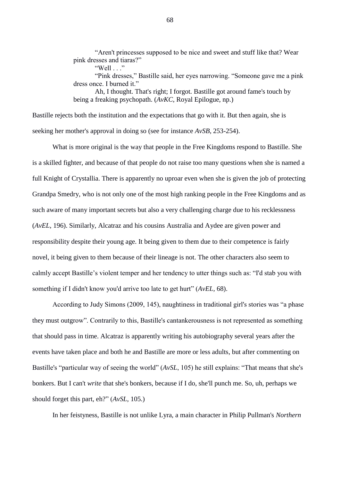"Aren't princesses supposed to be nice and sweet and stuff like that? Wear pink dresses and tiaras?"

"Pink dresses," Bastille said, her eyes narrowing. "Someone gave me a pink dress once. I burned it."

Ah, I thought. That's right; I forgot. Bastille got around fame's touch by being a freaking psychopath. (*AvKC*, Royal Epilogue, np.)

Bastille rejects both the institution and the expectations that go with it. But then again, she is seeking her mother's approval in doing so (see for instance *AvSB*, 253-254).

What is more original is the way that people in the Free Kingdoms respond to Bastille. She is a skilled fighter, and because of that people do not raise too many questions when she is named a full Knight of Crystallia. There is apparently no uproar even when she is given the job of protecting Grandpa Smedry, who is not only one of the most high ranking people in the Free Kingdoms and as such aware of many important secrets but also a very challenging charge due to his recklessness (*AvEL*, 196). Similarly, Alcatraz and his cousins Australia and Aydee are given power and responsibility despite their young age. It being given to them due to their competence is fairly novel, it being given to them because of their lineage is not. The other characters also seem to calmly accept Bastille's violent temper and her tendency to utter things such as: "I'd stab you with something if I didn't know you'd arrive too late to get hurt" (*AvEL,* 68).

According to Judy Simons (2009, 145), naughtiness in traditional girl's stories was "a phase they must outgrow". Contrarily to this, Bastille's cantankerousness is not represented as something that should pass in time. Alcatraz is apparently writing his autobiography several years after the events have taken place and both he and Bastille are more or less adults, but after commenting on Bastille's "particular way of seeing the world" (*AvSL*, 105) he still explains: "That means that she's bonkers. But I can't *write* that she's bonkers, because if I do, she'll punch me. So, uh, perhaps we should forget this part, eh?" (*AvSL*, 105.)

In her feistyness, Bastille is not unlike Lyra, a main character in Philip Pullman's *Northern* 

<sup>&</sup>quot;Well  $\ldots$ "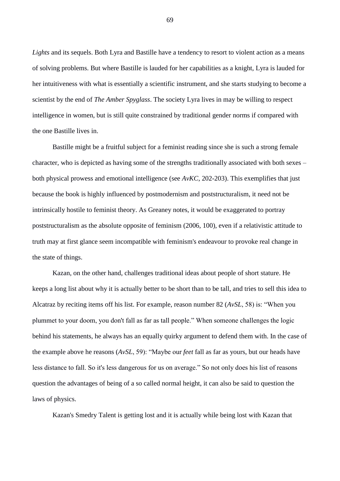*Lights* and its sequels. Both Lyra and Bastille have a tendency to resort to violent action as a means of solving problems. But where Bastille is lauded for her capabilities as a knight, Lyra is lauded for her intuitiveness with what is essentially a scientific instrument, and she starts studying to become a scientist by the end of *The Amber Spyglass*. The society Lyra lives in may be willing to respect intelligence in women, but is still quite constrained by traditional gender norms if compared with the one Bastille lives in.

Bastille might be a fruitful subject for a feminist reading since she is such a strong female character, who is depicted as having some of the strengths traditionally associated with both sexes – both physical prowess and emotional intelligence (see *AvKC*, 202-203). This exemplifies that just because the book is highly influenced by postmodernism and poststructuralism, it need not be intrinsically hostile to feminist theory. As Greaney notes, it would be exaggerated to portray poststructuralism as the absolute opposite of feminism (2006, 100), even if a relativistic attitude to truth may at first glance seem incompatible with feminism's endeavour to provoke real change in the state of things.

Kazan, on the other hand, challenges traditional ideas about people of short stature. He keeps a long list about why it is actually better to be short than to be tall, and tries to sell this idea to Alcatraz by reciting items off his list. For example, reason number 82 (*AvSL*, 58) is: "When you plummet to your doom, you don't fall as far as tall people." When someone challenges the logic behind his statements, he always has an equally quirky argument to defend them with. In the case of the example above he reasons (*AvSL*, 59): "Maybe our *feet* fall as far as yours, but our heads have less distance to fall. So it's less dangerous for us on average." So not only does his list of reasons question the advantages of being of a so called normal height, it can also be said to question the laws of physics.

Kazan's Smedry Talent is getting lost and it is actually while being lost with Kazan that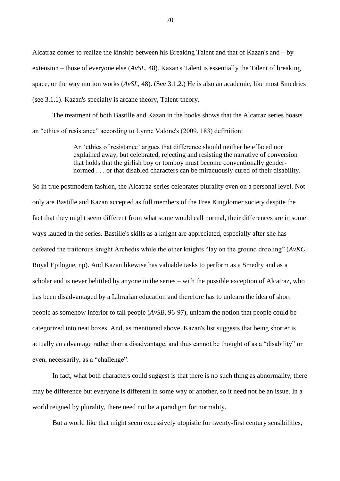Alcatraz comes to realize the kinship between his Breaking Talent and that of Kazan's and – by extension – those of everyone else (*AvSL*, 48). Kazan's Talent is essentially the Talent of breaking space, or the way motion works (*AvSL*, 48). (See 3.1.2.) He is also an academic, like most Smedries (see 3.1.1). Kazan's specialty is arcane theory, Talent-theory.

The treatment of both Bastille and Kazan in the books shows that the Alcatraz series boasts an "ethics of resistance" according to Lynne Valone's (2009, 183) definition:

> An 'ethics of resistance' argues that difference should neither be effaced nor explained away, but celebrated, rejecting and resisting the narrative of conversion that holds that the girlish boy or tomboy must become conventionally gendernormed . . . or that disabled characters can be miracuously cured of their disability.

So in true postmodern fashion, the Alcatraz-series celebrates plurality even on a personal level. Not only are Bastille and Kazan accepted as full members of the Free Kingdomer society despite the fact that they might seem different from what some would call normal, their differences are in some ways lauded in the series. Bastille's skills as a knight are appreciated, especially after she has defeated the traitorous knight Archedis while the other knights "lay on the ground drooling" (*AvKC*, Royal Epilogue, np). And Kazan likewise has valuable tasks to perform as a Smedry and as a scholar and is never belittled by anyone in the series – with the possible exception of Alcatraz, who has been disadvantaged by a Librarian education and therefore has to unlearn the idea of short people as somehow inferior to tall people (*AvSB*, 96-97), unlearn the notion that people could be categorized into neat boxes. And, as mentioned above, Kazan's list suggests that being shorter is actually an advantage rather than a disadvantage, and thus cannot be thought of as a "disability" or even, necessarily, as a "challenge".

In fact, what both characters could suggest is that there is no such thing as abnormality, there may be difference but everyone is different in some way or another, so it need not be an issue. In a world reigned by plurality, there need not be a paradigm for normality.

But a world like that might seem excessively utopistic for twenty-first century sensibilities,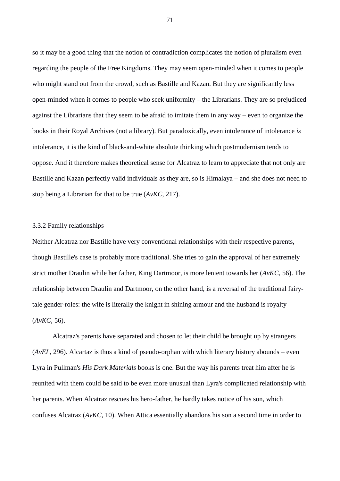so it may be a good thing that the notion of contradiction complicates the notion of pluralism even regarding the people of the Free Kingdoms. They may seem open-minded when it comes to people who might stand out from the crowd, such as Bastille and Kazan. But they are significantly less open-minded when it comes to people who seek uniformity – the Librarians. They are so prejudiced against the Librarians that they seem to be afraid to imitate them in any way – even to organize the books in their Royal Archives (not a library). But paradoxically, even intolerance of intolerance *is* intolerance, it is the kind of black-and-white absolute thinking which postmodernism tends to oppose. And it therefore makes theoretical sense for Alcatraz to learn to appreciate that not only are Bastille and Kazan perfectly valid individuals as they are, so is Himalaya – and she does not need to stop being a Librarian for that to be true (*AvKC*, 217).

### 3.3.2 Family relationships

Neither Alcatraz nor Bastille have very conventional relationships with their respective parents, though Bastille's case is probably more traditional. She tries to gain the approval of her extremely strict mother Draulin while her father, King Dartmoor, is more lenient towards her (*AvKC*, 56). The relationship between Draulin and Dartmoor, on the other hand, is a reversal of the traditional fairytale gender-roles: the wife is literally the knight in shining armour and the husband is royalty (*AvKC*, 56).

Alcatraz's parents have separated and chosen to let their child be brought up by strangers (*AvEL*, 296). Alcartaz is thus a kind of pseudo-orphan with which literary history abounds – even Lyra in Pullman's *His Dark Materials* books is one. But the way his parents treat him after he is reunited with them could be said to be even more unusual than Lyra's complicated relationship with her parents. When Alcatraz rescues his hero-father, he hardly takes notice of his son, which confuses Alcatraz (*AvKC*, 10). When Attica essentially abandons his son a second time in order to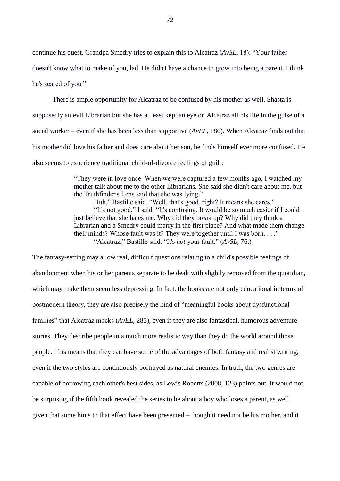continue his quest, Grandpa Smedry tries to explain this to Alcatraz (*AvSL*, 18): "Your father

doesn't know what to make of you, lad. He didn't have a chance to grow into being a parent. I think he's scared of you."

There is ample opportunity for Alcatraz to be confused by his mother as well. Shasta is supposedly an evil Librarian but she has at least kept an eye on Alcatraz all his life in the guise of a social worker – even if she has been less than supportive (*AvEL*, 186). When Alcatraz finds out that his mother did love his father and does care about her son, he finds himself ever more confused. He also seems to experience traditional child-of-divorce feelings of guilt:

> "They were in love once. When we were captured a few months ago, I watched my mother talk about me to the other Librarians. She said she didn't care about me, but the Truthfinder's Lens said that she was lying."

> Huh," Bastille said. "Well, that's good, right? It means she cares." "It's not good," I said. "It's confusing. It would be so much easier if I could just believe that she hates me. Why did they break up? Why did they think a Librarian and a Smedry could marry in the first place? And what made them change their minds? Whose fault was it? They were together until I was born. . . ." "Alcatraz," Bastille said. "It's *not* your fault." (*AvSL*, 76.)

The fantasy-setting may allow real, difficult questions relating to a child's possible feelings of abandonment when his or her parents separate to be dealt with slightly removed from the quotidian, which may make them seem less depressing. In fact, the books are not only educational in terms of postmodern theory, they are also precisely the kind of "meaningful books about dysfunctional families" that Alcatraz mocks (*AvEL*, 285), even if they are also fantastical, humorous adventure stories. They describe people in a much more realistic way than they do the world around those people. This means that they can have some of the advantages of both fantasy and realist writing, even if the two styles are continuously portrayed as natural enemies. In truth, the two genres are capable of borrowing each other's best sides, as Lewis Roberts (2008, 123) points out. It would not be surprising if the fifth book revealed the series to be about a boy who loses a parent, as well, given that some hints to that effect have been presented – though it need not be his mother, and it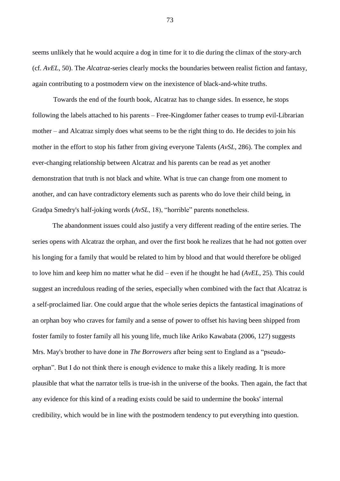seems unlikely that he would acquire a dog in time for it to die during the climax of the story-arch (cf. *AvEL*, 50). The *Alcatraz*-series clearly mocks the boundaries between realist fiction and fantasy, again contributing to a postmodern view on the inexistence of black-and-white truths.

Towards the end of the fourth book, Alcatraz has to change sides. In essence, he stops following the labels attached to his parents – Free-Kingdomer father ceases to trump evil-Librarian mother – and Alcatraz simply does what seems to be the right thing to do. He decides to join his mother in the effort to stop his father from giving everyone Talents (*AvSL*, 286). The complex and ever-changing relationship between Alcatraz and his parents can be read as yet another demonstration that truth is not black and white. What is true can change from one moment to another, and can have contradictory elements such as parents who do love their child being, in Gradpa Smedry's half-joking words (*AvSL*, 18), "horrible" parents nonetheless.

The abandonment issues could also justify a very different reading of the entire series. The series opens with Alcatraz the orphan, and over the first book he realizes that he had not gotten over his longing for a family that would be related to him by blood and that would therefore be obliged to love him and keep him no matter what he did – even if he thought he had (*AvEL*, 25). This could suggest an incredulous reading of the series, especially when combined with the fact that Alcatraz is a self-proclaimed liar. One could argue that the whole series depicts the fantastical imaginations of an orphan boy who craves for family and a sense of power to offset his having been shipped from foster family to foster family all his young life, much like Ariko Kawabata (2006, 127) suggests Mrs. May's brother to have done in *The Borrowers* after being sent to England as a "pseudoorphan". But I do not think there is enough evidence to make this a likely reading. It is more plausible that what the narrator tells is true-ish in the universe of the books. Then again, the fact that any evidence for this kind of a reading exists could be said to undermine the books' internal credibility, which would be in line with the postmodern tendency to put everything into question.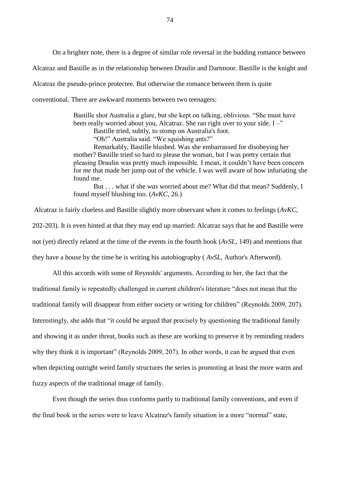On a brighter note, there is a degree of similar role reversal in the budding romance between Alcatraz and Bastille as in the relationship between Draulin and Dartmoor. Bastille is the knight and Alcatraz the pseudo-prince protectee. But otherwise the romance between them is quite conventional. There are awkward moments between two teenagers:

> Bastille shot Australia a glare, but she kept on talking, oblivious. "She must have been really worried about you, Alcatraz. She ran right over to your side. I –" Bastille tried, subtly, to stomp on Australia's foot. "Oh!" Australia said. "We squishing ants?" Remarkably, Bastille blushed. Was she embarrassed for disobeying her mother? Bastille tried so hard to please the woman, but I was pretty certain that pleasing Draulin was pretty much impossible. I mean, it couldn't have been concern for *me* that made her jump out of the vehicle. I was well aware of how infuriating she found me.

But . . . what if she *was* worried about me? What did that mean? Suddenly, I found myself blushing too. (*AvKC*, 26.)

Alcatraz is fairly clueless and Bastille slightly more observant when it comes to feelings (*AvKC*, 202-203). It is even hinted at that they may end up married: Alcatraz says that he and Bastille were not (yet) directly related at the time of the events in the fourth book (*AvSL*, 149) and mentions that they have a house by the time he is writing his autobiography ( *AvSL,* Author's Afterword).

All this accords with some of Reynolds' arguments. According to her, the fact that the traditional family is repeatedly challenged in current children's literature "does not mean that the traditional family will disappear from either society or writing for children" (Reynolds 2009, 207). Interestingly, she adds that "it could be argued that precisely by questioning the traditional family and showing it as under threat, books such as these are working to preserve it by reminding readers why they think it is important" (Reynolds 2009, 207). In other words, it can be argued that even when depicting outright weird family structures the series is promoting at least the more warm and fuzzy aspects of the traditional image of family.

Even though the series thus conforms partly to traditional family conventions, and even if the final book in the series were to leave Alcatraz's family situation in a more "normal" state,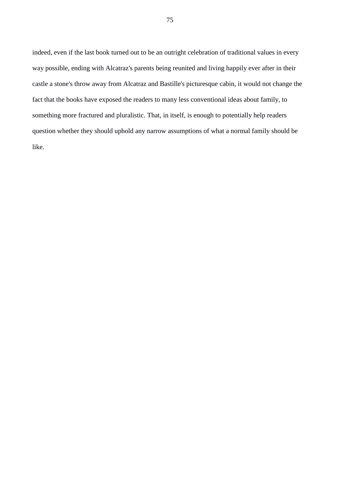indeed, even if the last book turned out to be an outright celebration of traditional values in every way possible, ending with Alcatraz's parents being reunited and living happily ever after in their castle a stone's throw away from Alcatraz and Bastille's picturesque cabin, it would not change the fact that the books have exposed the readers to many less conventional ideas about family, to something more fractured and pluralistic. That, in itself, is enough to potentially help readers question whether they should uphold any narrow assumptions of what a normal family should be like.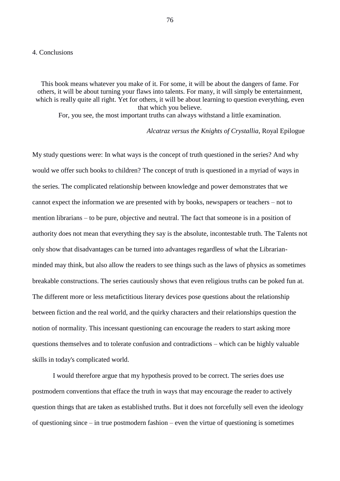#### 4. Conclusions

This book means whatever you make of it. For some, it will be about the dangers of fame. For others, it will be about turning your flaws into talents. For many, it will simply be entertainment, which is really quite all right. Yet for others, it will be about learning to question everything, even that which you believe.

For, you see, the most important truths can always withstand a little examination.

*Alcatraz versus the Knights of Crystallia,* Royal Epilogue

My study questions were: In what ways is the concept of truth questioned in the series? And why would we offer such books to children? The concept of truth is questioned in a myriad of ways in the series. The complicated relationship between knowledge and power demonstrates that we cannot expect the information we are presented with by books, newspapers or teachers – not to mention librarians – to be pure, objective and neutral. The fact that someone is in a position of authority does not mean that everything they say is the absolute, incontestable truth. The Talents not only show that disadvantages can be turned into advantages regardless of what the Librarianminded may think, but also allow the readers to see things such as the laws of physics as sometimes breakable constructions. The series cautiously shows that even religious truths can be poked fun at. The different more or less metafictitious literary devices pose questions about the relationship between fiction and the real world, and the quirky characters and their relationships question the notion of normality. This incessant questioning can encourage the readers to start asking more questions themselves and to tolerate confusion and contradictions – which can be highly valuable skills in today's complicated world.

I would therefore argue that my hypothesis proved to be correct. The series does use postmodern conventions that efface the truth in ways that may encourage the reader to actively question things that are taken as established truths. But it does not forcefully sell even the ideology of questioning since – in true postmodern fashion – even the virtue of questioning is sometimes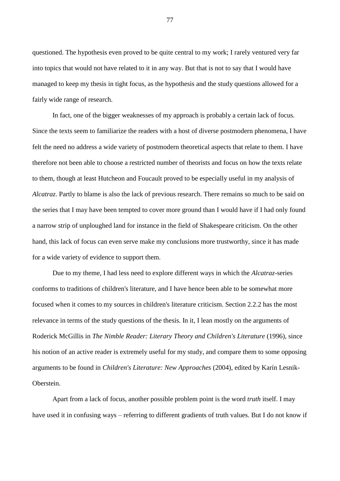questioned. The hypothesis even proved to be quite central to my work; I rarely ventured very far into topics that would not have related to it in any way. But that is not to say that I would have managed to keep my thesis in tight focus, as the hypothesis and the study questions allowed for a fairly wide range of research.

In fact, one of the bigger weaknesses of my approach is probably a certain lack of focus. Since the texts seem to familiarize the readers with a host of diverse postmodern phenomena, I have felt the need no address a wide variety of postmodern theoretical aspects that relate to them. I have therefore not been able to choose a restricted number of theorists and focus on how the texts relate to them, though at least Hutcheon and Foucault proved to be especially useful in my analysis of *Alcatraz*. Partly to blame is also the lack of previous research. There remains so much to be said on the series that I may have been tempted to cover more ground than I would have if I had only found a narrow strip of unploughed land for instance in the field of Shakespeare criticism. On the other hand, this lack of focus can even serve make my conclusions more trustworthy, since it has made for a wide variety of evidence to support them.

Due to my theme, I had less need to explore different ways in which the *Alcatraz*-series conforms to traditions of children's literature, and I have hence been able to be somewhat more focused when it comes to my sources in children's literature criticism. Section 2.2.2 has the most relevance in terms of the study questions of the thesis. In it, I lean mostly on the arguments of Roderick McGillis in *The Nimble Reader: Literary Theory and Children's Literature* (1996), since his notion of an active reader is extremely useful for my study, and compare them to some opposing arguments to be found in *Children's Literature: New Approaches* (2004), edited by Karín Lesnik-**Oberstein** 

Apart from a lack of focus, another possible problem point is the word *truth* itself. I may have used it in confusing ways – referring to different gradients of truth values. But I do not know if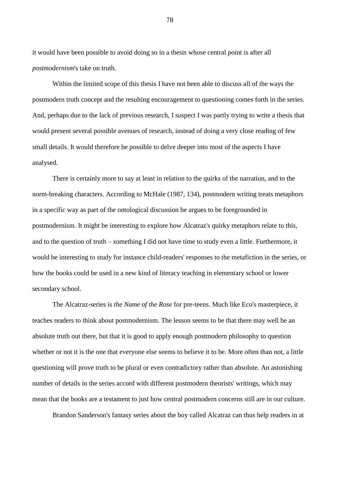it would have been possible to avoid doing so in a thesis whose central point is after all *postmodernism*'s take on truth.

Within the limited scope of this thesis I have not been able to discuss all of the ways the postmodern truth concept and the resulting encouragement to questioning comes forth in the series. And, perhaps due to the lack of previous research, I suspect I was partly trying to write a thesis that would present several possible avenues of research, instead of doing a very close reading of few small details. It would therefore be possible to delve deeper into most of the aspects I have analysed.

There is certainly more to say at least in relation to the quirks of the narration, and to the norm-breaking characters. According to McHale (1987, 134), postmodern writing treats metaphors in a specific way as part of the ontological discussion he argues to be foregrounded in postmodernism. It might be interesting to explore how Alcatraz's quirky metaphors relate to this, and to the question of truth – something I did not have time to study even a little. Furthermore, it would be interesting to study for instance child-readers' responses to the metafiction in the series, or how the books could be used in a new kind of literacy teaching in elementary school or lower secondary school.

The Alcatraz-series is *the Name of the Rose* for pre-teens. Much like Eco's masterpiece, it teaches readers to think about postmodernism. The lesson seems to be that there may well be an absolute truth out there, but that it is good to apply enough postmodern philosophy to question whether or not it is the one that everyone else seems to believe it to be. More often than not, a little questioning will prove truth to be plural or even contradictory rather than absolute. An astonishing number of details in the series accord with different postmodern theorists' writings, which may mean that the books are a testament to just how central postmodern concerns still are in our culture.

Brandon Sanderson's fantasy series about the boy called Alcatraz can thus help readers in at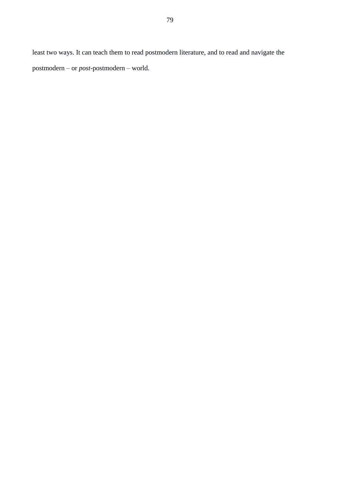least two ways. It can teach them to read postmodern literature, and to read and navigate the postmodern – or *post*-postmodern – world.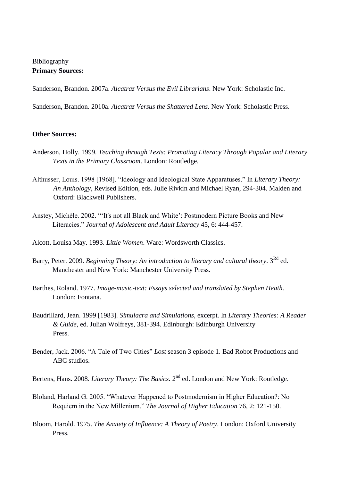# Bibliography **Primary Sources:**

Sanderson, Brandon. 2007a. *Alcatraz Versus the Evil Librarians*. New York: Scholastic Inc.

Sanderson, Brandon. 2010a. *Alcatraz Versus the Shattered Lens*. New York: Scholastic Press.

## **Other Sources:**

- Anderson, Holly. 1999. *Teaching through Texts: Promoting Literacy Through Popular and Literary Texts in the Primary Classroom*. London: Routledge.
- Althusser, Louis. 1998 [1968]. "Ideology and Ideological State Apparatuses." In *Literary Theory: An Anthology,* Revised Edition, eds. Julie Rivkin and Michael Ryan, 294-304. Malden and Oxford: Blackwell Publishers.
- Anstey, Michèle. 2002. "'It's not all Black and White': Postmodern Picture Books and New Literacies." *Journal of Adolescent and Adult Literacy* 45, 6: 444-457.
- Alcott, Louisa May. 1993. *Little Women*. Ware: Wordsworth Classics.
- Barry, Peter. 2009. *Beginning Theory: An introduction to literary and cultural theory*. 3<sup>Rd</sup> ed. Manchester and New York: Manchester University Press.
- Barthes, Roland. 1977. *Image-music-text: Essays selected and translated by Stephen Heath.* London: Fontana.
- Baudrillard, Jean. 1999 [1983]. *Simulacra and Simulations*, excerpt. In *Literary Theories: A Reader & Guide*, ed. Julian Wolfreys, 381-394. Edinburgh: Edinburgh University Press.
- Bender, Jack. 2006. "A Tale of Two Cities" *Lost* season 3 episode 1. Bad Robot Productions and ABC studios.
- Bertens, Hans. 2008. *Literary Theory: The Basics*. 2<sup>nd</sup> ed. London and New York: Routledge.
- Bloland, Harland G. 2005. "Whatever Happened to Postmodernism in Higher Education?: No Requiem in the New Millenium." *The Journal of Higher Education* 76, 2: 121-150.
- Bloom, Harold. 1975. *The Anxiety of Influence: A Theory of Poetry*. London: Oxford University Press.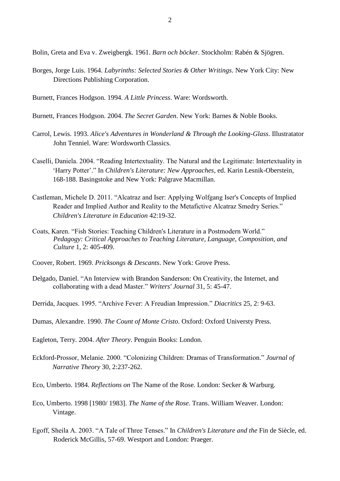Bolin, Greta and Eva v. Zweigbergk. 1961. *Barn och böcker*. Stockholm: Rabén & Sjögren.

- Borges, Jorge Luis. 1964. *Labyrinths: Selected Stories & Other Writings*. New York City: New Directions Publishing Corporation.
- Burnett, Frances Hodgson. 1994. *A Little Princess*. Ware: Wordsworth.
- Burnett, Frances Hodgson. 2004. *The Secret Garden*. New York: Barnes & Noble Books.
- Carrol, Lewis. 1993. *Alice's Adventures in Wonderland & Through the Looking-Glass*. Illustratator John Tenniel. Ware: Wordsworth Classics.
- Caselli, Daniela. 2004. "Reading Intertextuality. The Natural and the Legitimate: Intertextuality in 'Harry Potter'." In *Children's Literature: New Approaches*, ed. Karin Lesnik-Oberstein, 168-188. Basingstoke and New York: Palgrave Macmillan.
- Castleman, Michele D. 2011. "Alcatraz and Iser: Applying Wolfgang Iser's Concepts of Implied Reader and Implied Author and Reality to the Metafictive Alcatraz Smedry Series." *Children's Literature in Education* 42:19-32.
- Coats, Karen. "Fish Stories: Teaching Children's Literature in a Postmodern World." *Pedagogy: Critical Approaches to Teaching Literature, Language, Composition, and Culture* 1, 2: 405-409.
- Coover, Robert. 1969. *Pricksongs & Descants*. New York: Grove Press.
- Delgado, Daniel. "An Interview with Brandon Sanderson: On Creativity, the Internet, and collaborating with a dead Master." *Writers' Journal* 31, 5: 45-47.
- Derrida, Jacques. 1995. "Archive Fever: A Freudian Impression." *Diacritics* 25, 2: 9-63.
- Dumas, Alexandre. 1990. *The Count of Monte Cristo*. Oxford: Oxford Universty Press.

Eagleton, Terry. 2004. *After Theory*. Penguin Books: London.

- Eckford-Prossor, Melanie. 2000. "Colonizing Children: Dramas of Transformation." *Journal of Narrative Theory* 30, 2:237-262.
- Eco, Umberto. 1984. *Reflections on* The Name of the Rose. London: Secker & Warburg.
- Eco, Umberto. 1998 [1980/ 1983]. *The Name of the Rose*. Trans. William Weaver. London: Vintage.
- Egoff, Sheila A. 2003. "A Tale of Three Tenses." In *Children's Literature and the* Fin de Siècle, ed. Roderick McGillis, 57-69. Westport and London: Praeger.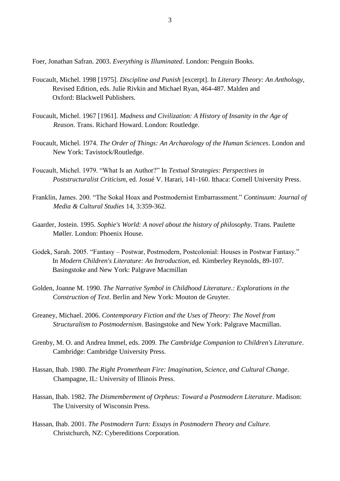Foer, Jonathan Safran. 2003. *Everything is Illuminated*. London: Penguin Books.

- Foucault, Michel. 1998 [1975]. *Discipline and Punish* [excerpt]. In *Literary Theory: An Anthology,* Revised Edition, eds. Julie Rivkin and Michael Ryan, 464-487. Malden and Oxford: Blackwell Publishers.
- Foucault, Michel. 1967 [1961]. *Madness and Civilization: A History of Insanity in the Age of Reason*. Trans. Richard Howard. London: Routledge.
- Foucault, Michel. 1974. *The Order of Things: An Archaeology of the Human Sciences*. London and New York: Tavistock/Routledge.
- Foucault, Michel. 1979. "What Is an Author?" In *Textual Strategies: Perspectives in Poststructuralist Criticism*, ed. Josué V. Harari, 141-160. Ithaca: Cornell University Press.
- Franklin, James. 200. "The Sokal Hoax and Postmodernist Embarrassment." *Continuum: Journal of Media & Cultural Studies* 14, 3:359-362.
- Gaarder, Jostein. 1995. *Sophie's World: A novel about the history of philosophy*. Trans. Paulette Møller. London: Phoenix House.
- Godek, Sarah. 2005. "Fantasy Postwar, Postmodern, Postcolonial: Houses in Postwar Fantasy." In *Modern Children's Literature: An Introduction*, ed. Kimberley Reynolds, 89-107. Basingstoke and New York: Palgrave Macmillan
- Golden, Joanne M. 1990. *The Narrative Symbol in Childhood Literature.: Explorations in the Construction of Text*. Berlin and New York: Mouton de Gruyter.
- Greaney, Michael. 2006. *Contemporary Fiction and the Uses of Theory: The Novel from Structuralism to Postmodernism*. Basingstoke and New York: Palgrave Macmillan.
- Grenby, M. O. and Andrea Immel, eds. 2009. *The Cambridge Companion to Children's Literature*. Cambridge: Cambridge University Press.
- Hassan, Ihab. 1980. *The Right Promethean Fire: Imagination, Science, and Cultural Change*. Champagne, IL: University of Illinois Press.
- Hassan, Ihab. 1982. *The Dismemberment of Orpheus: Toward a Postmodern Literature*. Madison: The University of Wisconsin Press.
- Hassan, Ihab. 2001. *The Postmodern Turn: Essays in Postmodern Theory and Culture*. Christchurch, NZ: Cybereditions Corporation.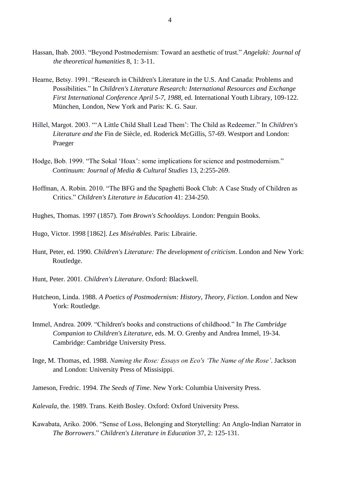- Hassan, Ihab. 2003. "Beyond Postmodernism: Toward an aesthetic of trust." *Angelaki: Journal of the theoretical humanities* 8, 1: 3-11.
- Hearne, Betsy. 1991. "Research in Children's Literature in the U.S. And Canada: Problems and Possibilities." In *Children's Literature Research: International Resources and Exchange First International Conference April 5-7, 1988*, ed. International Youth Library, 109-122. München, London, New York and Paris: K. G. Saur.
- Hillel, Margot. 2003. "'A Little Child Shall Lead Them': The Child as Redeemer." In *Children's Literature and the* Fin de Siècle, ed. Roderick McGillis, 57-69. Westport and London: Praeger
- Hodge, Bob. 1999. "The Sokal 'Hoax': some implications for science and postmodernism." *Continuum: Journal of Media & Cultural Studies* 13, 2:255-269.
- Hoffman, A. Robin. 2010. "The BFG and the Spaghetti Book Club: A Case Study of Children as Critics." *Children's Literature in Education* 41: 234-250.
- Hughes, Thomas. 1997 (1857). *Tom Brown's Schooldays*. London: Penguin Books.
- Hugo, Victor. 1998 [1862]. *Les Misérables*. Paris: Librairie.
- Hunt, Peter, ed. 1990. *Children's Literature: The development of criticism*. London and New York: Routledge.
- Hunt, Peter. 2001. *Children's Literature*. Oxford: Blackwell.
- Hutcheon, Linda. 1988. *A Poetics of Postmodernism: History, Theory, Fiction*. London and New York: Routledge.
- Immel, Andrea. 2009. "Children's books and constructions of childhood." In *The Cambridge Companion to Children's Literature*, eds. M. O. Grenby and Andrea Immel, 19-34. Cambridge: Cambridge University Press.
- Inge, M. Thomas, ed. 1988. *Naming the Rose: Essays on Eco's 'The Name of the Rose'*. Jackson and London: University Press of Missisippi.
- Jameson, Fredric. 1994. *The Seeds of Time*. New York: Columbia University Press.

*Kalevala*, the. 1989. Trans. Keith Bosley. Oxford: Oxford University Press.

Kawabata, Ariko. 2006. "Sense of Loss, Belonging and Storytelling: An Anglo-Indian Narrator in *The Borrowers*." *Children's Literature in Education* 37, 2: 125-131.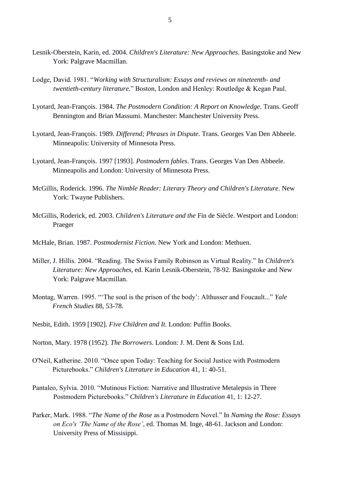- Lesnik-Oberstein, Karín, ed. 2004. *Children's Literature: New Approaches*. Basingstoke and New York: Palgrave Macmillan.
- Lodge, David. 1981. "*Working with Structuralism: Essays and reviews on nineteenth- and twentieth-century literature.*" Boston, London and Henley: Routledge & Kegan Paul.
- Lyotard, Jean-François. 1984. *The Postmodern Condition: A Report on Knowledge*. Trans. Geoff Bennington and Brian Massumi. Manchester: Manchester University Press.
- Lyotard, Jean-François. 1989. *Differend; Phrases in Dispute*. Trans. Georges Van Den Abbeele. Minneapolis: University of Minnesota Press.
- Lyotard, Jean-François. 1997 [1993]. *Postmodern fables*. Trans. Georges Van Den Abbeele. Minneapolis and London: University of Minnesota Press.
- McGillis, Roderick. 1996. *The Nimble Reader: Literary Theory and Children's Literature*. New York: Twayne Publishers.
- McGillis, Roderick, ed. 2003. *Children's Literature and the* Fin de Siècle. Westport and London: Praeger
- McHale, Brian. 1987. *Postmodernist Fiction*. New York and London: Methuen.
- Miller, J. Hillis. 2004. "Reading. The Swiss Family Robinson as Virtual Reality." In *Children's Literature: New Approaches*, ed. Karin Lesnik-Oberstein, 78-92. Basingstoke and New York: Palgrave Macmillan.
- Montag, Warren. 1995. "'The soul is the prison of the body': Althusser and Foucault..." *Yale French Studies* 88, 53-78.
- Nesbit, Edith. 1959 [1902]. *Five Children and It*. London: Puffin Books.
- Norton, Mary. 1978 (1952). *The Borrowers*. London: J. M. Dent & Sons Ltd.
- O'Neil, Katherine. 2010. "Once upon Today: Teaching for Social Justice with Postmodern Picturebooks." *Children's Literature in Education* 41, 1: 40-51.
- Pantaleo, Sylvia. 2010. "Mutinous Fiction: Narrative and Illustrative Metalepsis in Three Postmodern Picturebooks." *Children's Literature in Education* 41, 1: 12-27.
- Parker, Mark. 1988. "*The Name of the Rose* as a Postmodern Novel." In *Naming the Rose: Essays on Eco's 'The Name of the Rose'*, ed. Thomas M. Inge, 48-61. Jackson and London: University Press of Missisippi.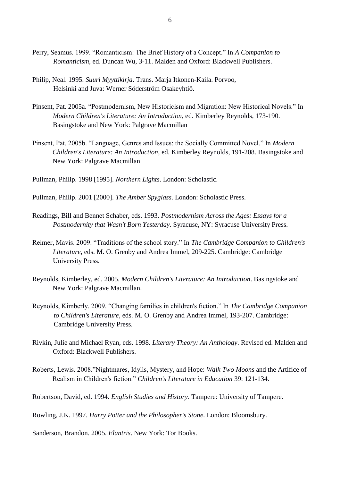- Perry, Seamus. 1999. "Romanticism: The Brief History of a Concept." In *A Companion to Romanticism*, ed. Duncan Wu, 3-11. Malden and Oxford: Blackwell Publishers.
- Philip, Neal. 1995. *Suuri Myyttikirja*. Trans. Marja Itkonen-Kaila. Porvoo, Helsinki and Juva: Werner Söderström Osakeyhtiö.
- Pinsent, Pat. 2005a. "Postmodernism, New Historicism and Migration: New Historical Novels." In *Modern Children's Literature: An Introduction*, ed. Kimberley Reynolds, 173-190. Basingstoke and New York: Palgrave Macmillan
- Pinsent, Pat. 2005b. "Language, Genres and Issues: the Socially Committed Novel." In *Modern Children's Literature: An Introduction*, ed. Kimberley Reynolds, 191-208. Basingstoke and New York: Palgrave Macmillan
- Pullman, Philip. 1998 [1995]. *Northern Lights*. London: Scholastic.
- Pullman, Philip. 2001 [2000]. *The Amber Spyglass*. London: Scholastic Press.
- Readings, Bill and Bennet Schaber, eds. 1993. *Postmodernism Across the Ages: Essays for a Postmodernity that Wasn't Born Yesterday.* Syracuse, NY: Syracuse University Press.
- Reimer, Mavis. 2009. "Traditions of the school story." In *The Cambridge Companion to Children's Literature*, eds. M. O. Grenby and Andrea Immel, 209-225. Cambridge: Cambridge University Press.
- Reynolds, Kimberley, ed. 2005. *Modern Children's Literature: An Introduction*. Basingstoke and New York: Palgrave Macmillan.
- Reynolds, Kimberly. 2009. "Changing families in children's fiction." In *The Cambridge Companion to Children's Literature*, eds. M. O. Grenby and Andrea Immel, 193-207. Cambridge: Cambridge University Press.
- Rivkin, Julie and Michael Ryan, eds. 1998. *Literary Theory: An Anthology*. Revised ed. Malden and Oxford: Blackwell Publishers.
- Roberts, Lewis. 2008."Nightmares, Idylls, Mystery, and Hope: *Walk Two Moons* and the Artifice of Realism in Children's fiction." *Children's Literature in Education* 39: 121-134.
- Robertson, David, ed. 1994. *English Studies and History*. Tampere: University of Tampere.
- Rowling, J.K. 1997. *Harry Potter and the Philosopher's Stone*. London: Bloomsbury.

Sanderson, Brandon. 2005. *Elantris*. New York: Tor Books.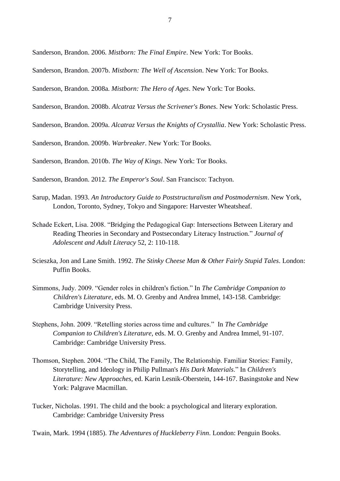Sanderson, Brandon. 2006. *Mistborn: The Final Empire*. New York: Tor Books.

Sanderson, Brandon. 2007b. *Mistborn: The Well of Ascension*. New York: Tor Books.

Sanderson, Brandon. 2008a. *Mistborn: The Hero of Ages*. New York: Tor Books.

Sanderson, Brandon. 2008b. *Alcatraz Versus the Scrivener's Bones*. New York: Scholastic Press.

Sanderson, Brandon. 2009a. *Alcatraz Versus the Knights of Crystallia*. New York: Scholastic Press.

Sanderson, Brandon. 2009b. *Warbreaker*. New York: Tor Books.

Sanderson, Brandon. 2010b. *The Way of Kings*. New York: Tor Books.

Sanderson, Brandon. 2012. *The Emperor's Soul*. San Francisco: Tachyon.

- Sarup, Madan. 1993. *An Introductory Guide to Poststructuralism and Postmodernism*. New York, London, Toronto, Sydney, Tokyo and Singapore: Harvester Wheatsheaf.
- Schade Eckert, Lisa. 2008. "Bridging the Pedagogical Gap: Intersections Between Literary and Reading Theories in Secondary and Postsecondary Literacy Instruction." *Journal of Adolescent and Adult Literacy* 52, 2: 110-118.
- Scieszka, Jon and Lane Smith. 1992. *The Stinky Cheese Man & Other Fairly Stupid Tales*. London: Puffin Books.
- Simmons, Judy. 2009. "Gender roles in children's fiction." In *The Cambridge Companion to Children's Literature*, eds. M. O. Grenby and Andrea Immel, 143-158. Cambridge: Cambridge University Press.
- Stephens, John. 2009. "Retelling stories across time and cultures." In *The Cambridge Companion to Children's Literature*, eds. M. O. Grenby and Andrea Immel, 91-107. Cambridge: Cambridge University Press.
- Thomson, Stephen. 2004. "The Child, The Family, The Relationship. Familiar Stories: Family, Storytelling, and Ideology in Philip Pullman's *His Dark Materials*." In *Children's Literature: New Approaches*, ed. Karin Lesnik-Oberstein, 144-167. Basingstoke and New York: Palgrave Macmillan.
- Tucker, Nicholas. 1991. The child and the book: a psychological and literary exploration. Cambridge: Cambridge University Press

Twain, Mark. 1994 (1885). *The Adventures of Huckleberry Finn*. London: Penguin Books.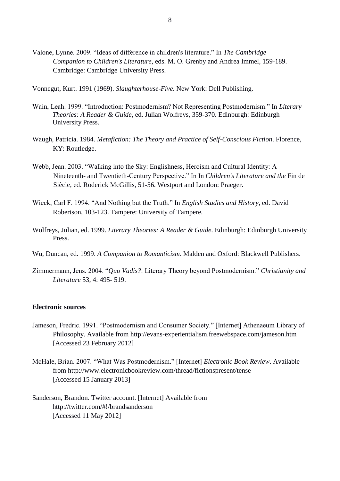Valone, Lynne. 2009. "Ideas of difference in children's literature." In *The Cambridge Companion to Children's Literature*, eds. M. O. Grenby and Andrea Immel, 159-189. Cambridge: Cambridge University Press.

Vonnegut, Kurt. 1991 (1969). *Slaughterhouse-Five*. New York: Dell Publishing.

- Wain, Leah. 1999. "Introduction: Postmodernism? Not Representing Postmodernism." In *Literary Theories: A Reader & Guide*, ed. Julian Wolfreys, 359-370. Edinburgh: Edinburgh University Press.
- Waugh, Patricia. 1984. *Metafiction: The Theory and Practice of Self-Conscious Fiction*. Florence, KY: Routledge.
- Webb, Jean. 2003. "Walking into the Sky: Englishness, Heroism and Cultural Identity: A Nineteenth- and Twentieth-Century Perspective." In In *Children's Literature and the* Fin de Siècle, ed. Roderick McGillis, 51-56. Westport and London: Praeger.
- Wieck, Carl F. 1994. "And Nothing but the Truth." In *English Studies and History*, ed. David Robertson, 103-123. Tampere: University of Tampere.
- Wolfreys, Julian, ed. 1999. *Literary Theories: A Reader & Guide*. Edinburgh: Edinburgh University Press.
- Wu, Duncan, ed. 1999. *A Companion to Romanticism*. Malden and Oxford: Blackwell Publishers.
- Zimmermann, Jens. 2004. "*Quo Vadis?*: Literary Theory beyond Postmodernism." *Christianity and Literature* 53, 4: 495- 519.

### **Electronic sources**

- Jameson, Fredric. 1991. "Postmodernism and Consumer Society." [Internet] Athenaeum Library of Philosophy. Available from http://evans-experientialism.freewebspace.com/jameson.htm [Accessed 23 February 2012]
- McHale, Brian. 2007. "What Was Postmodernism." [Internet] *Electronic Book Review*. Available from http://www.electronicbookreview.com/thread/fictionspresent/tense [Accessed 15 January 2013]
- Sanderson, Brandon. Twitter account. [Internet] Available from http://twitter.com/#!/brandsanderson [Accessed 11 May 2012]